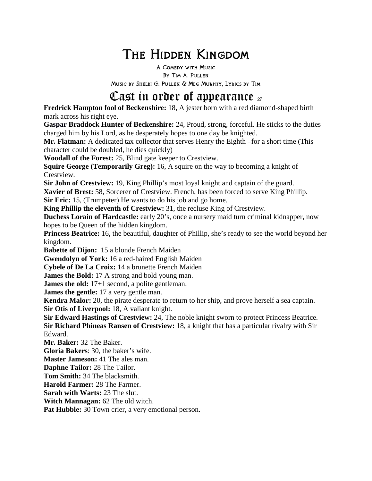# The Hidden Kingdom

A Comedy with Music By Tim A. Pullen Music by Shelbi G. Pullen & Meg Murphy, Lyrics by Tim

## Cast in order of appearance  $_{27}$

**Fredrick Hampton fool of Beckenshire:** 18, A jester born with a red diamond-shaped birth mark across his right eye.

**Gaspar Braddock Hunter of Beckenshire:** 24, Proud, strong, forceful. He sticks to the duties charged him by his Lord, as he desperately hopes to one day be knighted.

**Mr. Flatman:** A dedicated tax collector that serves Henry the Eighth –for a short time (This character could be doubled, he dies quickly)

**Woodall of the Forest:** 25, Blind gate keeper to Crestview.

**Squire George (Temporarily Greg):** 16, A squire on the way to becoming a knight of Crestview.

**Sir John of Crestview:** 19, King Phillip's most loyal knight and captain of the guard.

**Xavier of Brest:** 58, Sorcerer of Crestview. French, has been forced to serve King Phillip. **Sir Eric:** 15, (Trumpeter) He wants to do his job and go home.

**King Phillip the eleventh of Crestview:** 31, the recluse King of Crestview.

**Duchess Lorain of Hardcastle:** early 20's, once a nursery maid turn criminal kidnapper, now hopes to be Queen of the hidden kingdom.

**Princess Beatrice:** 16, the beautiful, daughter of Phillip, she's ready to see the world beyond her kingdom.

**Babette of Dijon:** 15 a blonde French Maiden

**Gwendolyn of York:** 16 a red-haired English Maiden

**Cybele of De La Croix:** 14 a brunette French Maiden

**James the Bold:** 17 A strong and bold young man.

**James the old:** 17+1 second, a polite gentleman.

**James the gentle:** 17 a very gentle man.

**Kendra Malor:** 20, the pirate desperate to return to her ship, and prove herself a sea captain. **Sir Otis of Liverpool:** 18, A valiant knight.

**Sir Edward Hastings of Crestview:** 24, The noble knight sworn to protect Princess Beatrice. **Sir Richard Phineas Ransen of Crestview:** 18, a knight that has a particular rivalry with Sir Edward.

**Mr. Baker:** 32 The Baker.

**Gloria Bakers**: 30, the baker's wife.

**Master Jameson:** 41 The ales man.

**Daphne Tailor:** 28 The Tailor.

**Tom Smith:** 34 The blacksmith.

**Harold Farmer:** 28 The Farmer.

**Sarah with Warts:** 23 The slut.

**Witch Mannagan:** 62 The old witch.

Pat Hubble: 30 Town crier, a very emotional person.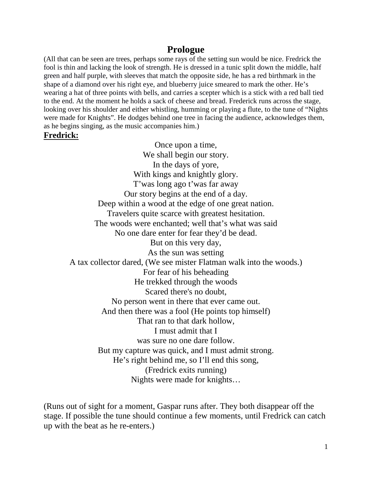#### **Prologue**

(All that can be seen are trees, perhaps some rays of the setting sun would be nice. Fredrick the fool is thin and lacking the look of strength. He is dressed in a tunic split down the middle, half green and half purple, with sleeves that match the opposite side, he has a red birthmark in the shape of a diamond over his right eye, and blueberry juice smeared to mark the other. He's wearing a hat of three points with bells, and carries a scepter which is a stick with a red ball tied to the end. At the moment he holds a sack of cheese and bread. Frederick runs across the stage, looking over his shoulder and either whistling, humming or playing a flute, to the tune of "Nights were made for Knights". He dodges behind one tree in facing the audience, acknowledges them, as he begins singing, as the music accompanies him.)

#### **Fredrick:**

Once upon a time, We shall begin our story. In the days of yore, With kings and knightly glory. T'was long ago t'was far away Our story begins at the end of a day. Deep within a wood at the edge of one great nation. Travelers quite scarce with greatest hesitation. The woods were enchanted; well that's what was said No one dare enter for fear they'd be dead. But on this very day, As the sun was setting A tax collector dared, (We see mister Flatman walk into the woods.) For fear of his beheading He trekked through the woods Scared there's no doubt, No person went in there that ever came out. And then there was a fool (He points top himself) That ran to that dark hollow, I must admit that I was sure no one dare follow. But my capture was quick, and I must admit strong. He's right behind me, so I'll end this song, (Fredrick exits running) Nights were made for knights…

(Runs out of sight for a moment, Gaspar runs after. They both disappear off the stage. If possible the tune should continue a few moments, until Fredrick can catch up with the beat as he re-enters.)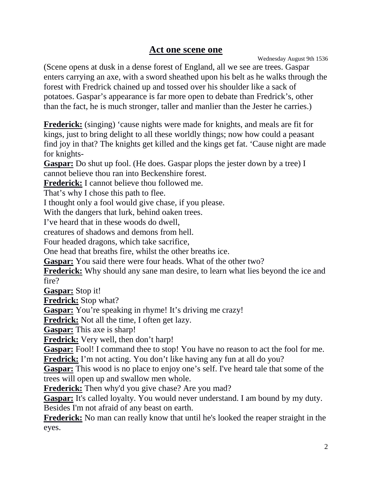#### **Act one scene one**

Wednesday August 9th 1536

(Scene opens at dusk in a dense forest of England, all we see are trees. Gaspar enters carrying an axe, with a sword sheathed upon his belt as he walks through the forest with Fredrick chained up and tossed over his shoulder like a sack of potatoes. Gaspar's appearance is far more open to debate than Fredrick's, other than the fact, he is much stronger, taller and manlier than the Jester he carries.)

**Frederick:** (singing) 'cause nights were made for knights, and meals are fit for kings, just to bring delight to all these worldly things; now how could a peasant find joy in that? The knights get killed and the kings get fat. 'Cause night are made for knights-

**Gaspar:** Do shut up fool. (He does. Gaspar plops the jester down by a tree) I cannot believe thou ran into Beckenshire forest.

**Frederick:** I cannot believe thou followed me.

That's why I chose this path to flee.

I thought only a fool would give chase, if you please.

With the dangers that lurk, behind oaken trees.

I've heard that in these woods do dwell,

creatures of shadows and demons from hell.

Four headed dragons, which take sacrifice,

One head that breaths fire, whilst the other breaths ice.

**Gaspar:** You said there were four heads. What of the other two?

**Frederick:** Why should any sane man desire, to learn what lies beyond the ice and fire?

**Gaspar:** Stop it!

**Fredrick:** Stop what?

**Gaspar:** You're speaking in rhyme! It's driving me crazy!

**Fredrick:** Not all the time, I often get lazy.

**Gaspar:** This axe is sharp!

**Fredrick:** Very well, then don't harp!

**Gaspar:** Fool! I command thee to stop! You have no reason to act the fool for me. **Fredrick:** I'm not acting. You don't like having any fun at all do you?

**Gaspar:** This wood is no place to enjoy one's self. I've heard tale that some of the trees will open up and swallow men whole.

**Frederick:** Then why'd you give chase? Are you mad?

**Gaspar:** It's called loyalty. You would never understand. I am bound by my duty. Besides I'm not afraid of any beast on earth.

**Frederick:** No man can really know that until he's looked the reaper straight in the eyes.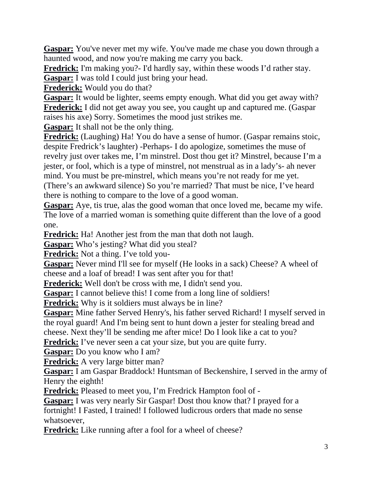**Gaspar:** You've never met my wife. You've made me chase you down through a haunted wood, and now you're making me carry you back.

**Fredrick:** I'm making you?- I'd hardly say, within these woods I'd rather stay. **Gaspar:** I was told I could just bring your head.

**Frederick:** Would you do that?

**Gaspar:** It would be lighter, seems empty enough. What did you get away with? **Frederick:** I did not get away you see, you caught up and captured me. (Gaspar raises his axe) Sorry. Sometimes the mood just strikes me.

**Gaspar:** It shall not be the only thing.

**Fredrick:** (Laughing) Ha! You do have a sense of humor. (Gaspar remains stoic, despite Fredrick's laughter) -Perhaps- I do apologize, sometimes the muse of revelry just over takes me, I'm minstrel. Dost thou get it? Minstrel, because I'm a jester, or fool, which is a type of minstrel, not menstrual as in a lady's- ah never mind. You must be pre-minstrel, which means you're not ready for me yet. (There's an awkward silence) So you're married? That must be nice, I've heard there is nothing to compare to the love of a good woman.

**Gaspar:** Aye, tis true, alas the good woman that once loved me, became my wife. The love of a married woman is something quite different than the love of a good one.

**Fredrick:** Ha! Another jest from the man that doth not laugh.

**Gaspar:** Who's jesting? What did you steal?

**Fredrick:** Not a thing. I've told you-

Gaspar: Never mind I'll see for myself (He looks in a sack) Cheese? A wheel of cheese and a loaf of bread! I was sent after you for that!

**Frederick:** Well don't be cross with me, I didn't send you.

**Gaspar:** I cannot believe this! I come from a long line of soldiers!

**Fredrick:** Why is it soldiers must always be in line?

**Gaspar:** Mine father Served Henry's, his father served Richard! I myself served in the royal guard! And I'm being sent to hunt down a jester for stealing bread and cheese. Next they'll be sending me after mice! Do I look like a cat to you?

Fredrick: I've never seen a cat your size, but you are quite furry.

**Gaspar:** Do you know who I am?

**Fredrick:** A very large bitter man?

**Gaspar:** I am Gaspar Braddock! Huntsman of Beckenshire, I served in the army of Henry the eighth!

**Fredrick:** Pleased to meet you, I'm Fredrick Hampton fool of -

**Gaspar:** I was very nearly Sir Gaspar! Dost thou know that? I prayed for a fortnight! I Fasted, I trained! I followed ludicrous orders that made no sense whatsoever,

**Fredrick:** Like running after a fool for a wheel of cheese?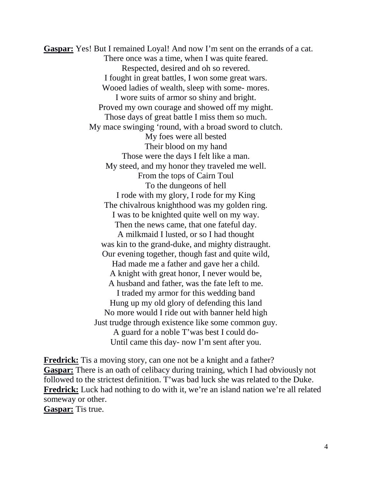**Gaspar:** Yes! But I remained Loyal! And now I'm sent on the errands of a cat. There once was a time, when I was quite feared. Respected, desired and oh so revered. I fought in great battles, I won some great wars. Wooed ladies of wealth, sleep with some- mores. I wore suits of armor so shiny and bright. Proved my own courage and showed off my might. Those days of great battle I miss them so much. My mace swinging 'round, with a broad sword to clutch. My foes were all bested Their blood on my hand Those were the days I felt like a man. My steed, and my honor they traveled me well. From the tops of Cairn Toul To the dungeons of hell I rode with my glory, I rode for my King The chivalrous knighthood was my golden ring. I was to be knighted quite well on my way. Then the news came, that one fateful day. A milkmaid I lusted, or so I had thought was kin to the grand-duke, and mighty distraught. Our evening together, though fast and quite wild, Had made me a father and gave her a child. A knight with great honor, I never would be, A husband and father, was the fate left to me. I traded my armor for this wedding band Hung up my old glory of defending this land No more would I ride out with banner held high Just trudge through existence like some common guy. A guard for a noble T'was best I could do-Until came this day- now I'm sent after you.

**Fredrick:** Tis a moving story, can one not be a knight and a father? **Gaspar:** There is an oath of celibacy during training, which I had obviously not followed to the strictest definition. T'was bad luck she was related to the Duke. **Fredrick:** Luck had nothing to do with it, we're an island nation we're all related someway or other. **Gaspar:** Tis true.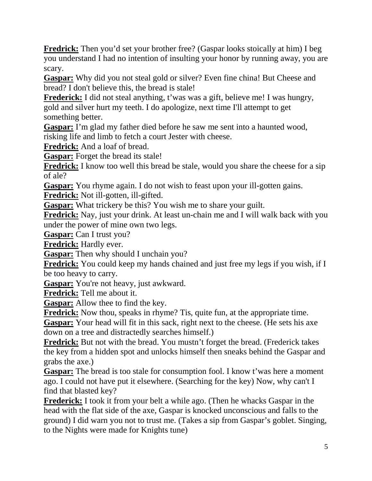**Fredrick:** Then you'd set your brother free? (Gaspar looks stoically at him) I beg you understand I had no intention of insulting your honor by running away, you are scary.

**Gaspar:** Why did you not steal gold or silver? Even fine china! But Cheese and bread? I don't believe this, the bread is stale!

**Frederick:** I did not steal anything, t'was was a gift, believe me! I was hungry, gold and silver hurt my teeth. I do apologize, next time I'll attempt to get something better.

**Gaspar:** I'm glad my father died before he saw me sent into a haunted wood, risking life and limb to fetch a court Jester with cheese.

**Fredrick:** And a loaf of bread.

**Gaspar:** Forget the bread its stale!

**Fredrick:** I know too well this bread be stale, would you share the cheese for a sip of ale?

**Gaspar:** You rhyme again. I do not wish to feast upon your ill-gotten gains.

**Fredrick:** Not ill-gotten, ill-gifted.

**Gaspar:** What trickery be this? You wish me to share your guilt.

**Fredrick:** Nay, just your drink. At least un-chain me and I will walk back with you under the power of mine own two legs.

**Gaspar:** Can I trust you?

**Fredrick:** Hardly ever.

**Gaspar:** Then why should I unchain you?

**Fredrick:** You could keep my hands chained and just free my legs if you wish, if I be too heavy to carry.

**Gaspar:** You're not heavy, just awkward.

**Fredrick:** Tell me about it.

**Gaspar:** Allow thee to find the key.

**Fredrick:** Now thou, speaks in rhyme? Tis, quite fun, at the appropriate time.

**Gaspar:** Your head will fit in this sack, right next to the cheese. (He sets his axe down on a tree and distractedly searches himself.)

**Fredrick:** But not with the bread. You mustn't forget the bread. (Frederick takes the key from a hidden spot and unlocks himself then sneaks behind the Gaspar and grabs the axe.)

**Gaspar:** The bread is too stale for consumption fool. I know t'was here a moment ago. I could not have put it elsewhere. (Searching for the key) Now, why can't I find that blasted key?

**Frederick:** I took it from your belt a while ago. (Then he whacks Gaspar in the head with the flat side of the axe, Gaspar is knocked unconscious and falls to the ground) I did warn you not to trust me. (Takes a sip from Gaspar's goblet. Singing, to the Nights were made for Knights tune)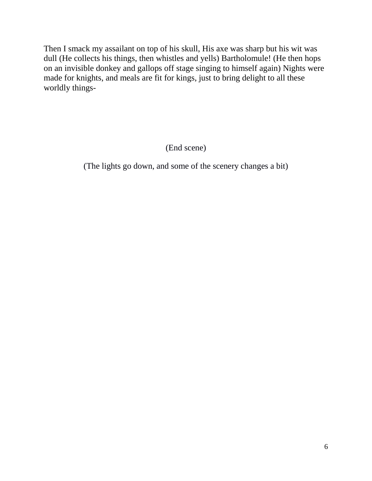Then I smack my assailant on top of his skull, His axe was sharp but his wit was dull (He collects his things, then whistles and yells) Bartholomule! (He then hops on an invisible donkey and gallops off stage singing to himself again) Nights were made for knights, and meals are fit for kings, just to bring delight to all these worldly things-

(End scene)

(The lights go down, and some of the scenery changes a bit)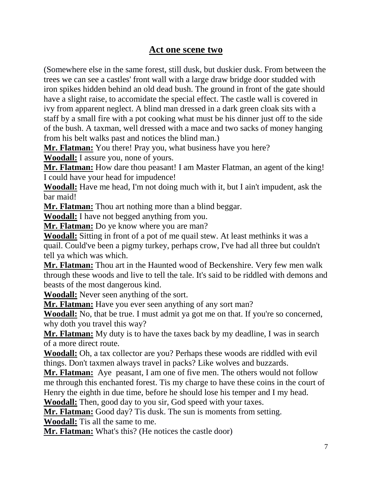### **Act one scene two**

(Somewhere else in the same forest, still dusk, but duskier dusk. From between the trees we can see a castles' front wall with a large draw bridge door studded with iron spikes hidden behind an old dead bush. The ground in front of the gate should have a slight raise, to accomidate the special effect. The castle wall is covered in ivy from apparent neglect. A blind man dressed in a dark green cloak sits with a staff by a small fire with a pot cooking what must be his dinner just off to the side of the bush. A taxman, well dressed with a mace and two sacks of money hanging from his belt walks past and notices the blind man.)

**Mr. Flatman:** You there! Pray you, what business have you here?

**Woodall:** I assure you, none of yours.

**Mr. Flatman:** How dare thou peasant! I am Master Flatman, an agent of the king! I could have your head for impudence!

**Woodall:** Have me head, I'm not doing much with it, but I ain't impudent, ask the bar maid!

**Mr. Flatman:** Thou art nothing more than a blind beggar.

**Woodall:** I have not begged anything from you.

**Mr. Flatman:** Do ye know where you are man?

**Woodall:** Sitting in front of a pot of me quail stew. At least methinks it was a quail. Could've been a pigmy turkey, perhaps crow, I've had all three but couldn't tell ya which was which.

**Mr. Flatman:** Thou art in the Haunted wood of Beckenshire. Very few men walk through these woods and live to tell the tale. It's said to be riddled with demons and beasts of the most dangerous kind.

**Woodall:** Never seen anything of the sort.

**Mr. Flatman:** Have you ever seen anything of any sort man?

**Woodall:** No, that be true. I must admit ya got me on that. If you're so concerned, why doth you travel this way?

**Mr. Flatman:** My duty is to have the taxes back by my deadline, I was in search of a more direct route.

**Woodall:** Oh, a tax collector are you? Perhaps these woods are riddled with evil things. Don't taxmen always travel in packs? Like wolves and buzzards.

**Mr. Flatman:** Aye peasant, I am one of five men. The others would not follow me through this enchanted forest. Tis my charge to have these coins in the court of Henry the eighth in due time, before he should lose his temper and I my head.

**Woodall:** Then, good day to you sir, God speed with your taxes.

**Mr. Flatman:** Good day? Tis dusk. The sun is moments from setting.

**Woodall:** Tis all the same to me.

**Mr. Flatman:** What's this? (He notices the castle door)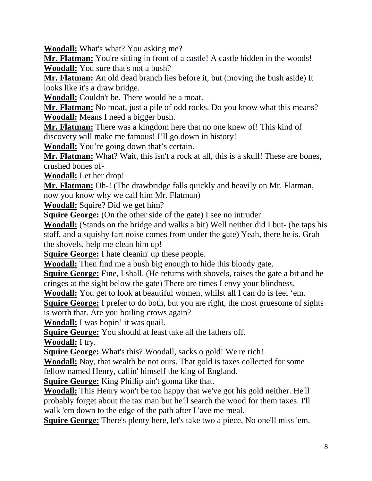**Woodall:** What's what? You asking me?

Mr. Flatman: You're sitting in front of a castle! A castle hidden in the woods! **Woodall:** You sure that's not a bush?

**Mr. Flatman:** An old dead branch lies before it, but (moving the bush aside) It looks like it's a draw bridge.

**Woodall:** Couldn't be. There would be a moat.

**Mr. Flatman:** No moat, just a pile of odd rocks. Do you know what this means? **Woodall:** Means I need a bigger bush.

**Mr. Flatman:** There was a kingdom here that no one knew of! This kind of discovery will make me famous! I'll go down in history!

**Woodall:** You're going down that's certain.

**Mr. Flatman:** What? Wait, this isn't a rock at all, this is a skull! These are bones, crushed bones of-

**Woodall:** Let her drop!

**Mr. Flatman:** Oh-! (The drawbridge falls quickly and heavily on Mr. Flatman, now you know why we call him Mr. Flatman)

**Woodall:** Squire? Did we get him?

**Squire George:** (On the other side of the gate) I see no intruder.

**Woodall:** (Stands on the bridge and walks a bit) Well neither did I but- (he taps his staff, and a squishy fart noise comes from under the gate) Yeah, there he is. Grab the shovels, help me clean him up!

**Squire George:** I hate cleanin' up these people.

**Woodall:** Then find me a bush big enough to hide this bloody gate.

**Squire George:** Fine, I shall. (He returns with shovels, raises the gate a bit and he cringes at the sight below the gate) There are times I envy your blindness.

**Woodall:** You get to look at beautiful women, whilst all I can do is feel 'em.

**Squire George:** I prefer to do both, but you are right, the most gruesome of sights is worth that. Are you boiling crows again?

**Woodall:** I was hopin' it was quail.

**Squire George:** You should at least take all the fathers off.

**Woodall:** I try.

**Squire George:** What's this? Woodall, sacks o gold! We're rich!

**Woodall:** Nay, that wealth be not ours. That gold is taxes collected for some fellow named Henry, callin' himself the king of England.

**Squire George:** King Phillip ain't gonna like that.

**Woodall:** This Henry won't be too happy that we've got his gold neither. He'll probably forget about the tax man but he'll search the wood for them taxes. I'll walk 'em down to the edge of the path after I 'ave me meal.

**Squire George:** There's plenty here, let's take two a piece, No one'll miss 'em.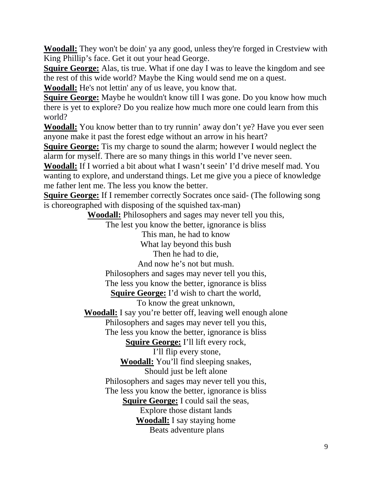**Woodall:** They won't be doin' ya any good, unless they're forged in Crestview with King Phillip's face. Get it out your head George.

**Squire George:** Alas, tis true. What if one day I was to leave the kingdom and see the rest of this wide world? Maybe the King would send me on a quest.

**Woodall:** He's not lettin' any of us leave, you know that.

**Squire George:** Maybe he wouldn't know till I was gone. Do you know how much there is yet to explore? Do you realize how much more one could learn from this world?

**Woodall:** You know better than to try runnin' away don't ye? Have you ever seen anyone make it past the forest edge without an arrow in his heart?

**Squire George:** Tis my charge to sound the alarm; however I would neglect the alarm for myself. There are so many things in this world I've never seen.

**Woodall:** If I worried a bit about what I wasn't seein' I'd drive meself mad. You wanting to explore, and understand things. Let me give you a piece of knowledge me father lent me. The less you know the better.

**Squire George:** If I remember correctly Socrates once said- (The following song is choreographed with disposing of the squished tax-man)

**Woodall:** Philosophers and sages may never tell you this,

The lest you know the better, ignorance is bliss

This man, he had to know

What lay beyond this bush

Then he had to die,

And now he's not but mush.

Philosophers and sages may never tell you this,

The less you know the better, ignorance is bliss

**Squire George:** I'd wish to chart the world,

To know the great unknown,

**Woodall:** I say you're better off, leaving well enough alone

Philosophers and sages may never tell you this,

The less you know the better, ignorance is bliss

**Squire George:** I'll lift every rock,

I'll flip every stone,

**Woodall:** You'll find sleeping snakes,

Should just be left alone

Philosophers and sages may never tell you this,

The less you know the better, ignorance is bliss **Squire George:** I could sail the seas,

Explore those distant lands

**Woodall:** I say staying home

Beats adventure plans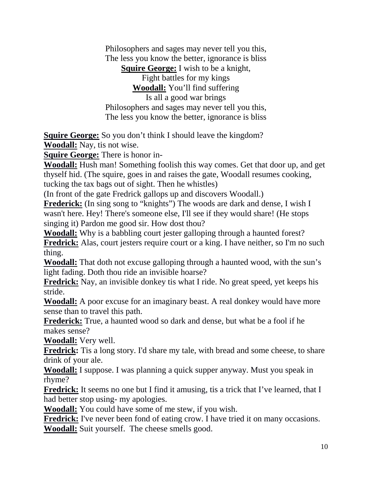Philosophers and sages may never tell you this, The less you know the better, ignorance is bliss **Squire George:** I wish to be a knight, Fight battles for my kings **Woodall:** You'll find suffering Is all a good war brings Philosophers and sages may never tell you this, The less you know the better, ignorance is bliss

**Squire George:** So you don't think I should leave the kingdom? **Woodall:** Nay, tis not wise.

**Squire George:** There is honor in-

**Woodall:** Hush man! Something foolish this way comes. Get that door up, and get thyself hid. (The squire, goes in and raises the gate, Woodall resumes cooking, tucking the tax bags out of sight. Then he whistles)

(In front of the gate Fredrick gallops up and discovers Woodall.)

**Frederick:** (In sing song to "knights") The woods are dark and dense, I wish I wasn't here. Hey! There's someone else, I'll see if they would share! (He stops singing it) Pardon me good sir. How dost thou?

**Woodall:** Why is a babbling court jester galloping through a haunted forest? **Fredrick:** Alas, court jesters require court or a king. I have neither, so I'm no such thing.

**Woodall:** That doth not excuse galloping through a haunted wood, with the sun's light fading. Doth thou ride an invisible hoarse?

**Fredrick:** Nay, an invisible donkey tis what I ride. No great speed, yet keeps his stride.

**Woodall:** A poor excuse for an imaginary beast. A real donkey would have more sense than to travel this path.

**Frederick:** True, a haunted wood so dark and dense, but what be a fool if he makes sense?

**Woodall:** Very well.

**Fredrick:** Tis a long story. I'd share my tale, with bread and some cheese, to share drink of your ale.

**Woodall:** I suppose. I was planning a quick supper anyway. Must you speak in rhyme?

**Fredrick:** It seems no one but I find it amusing, tis a trick that I've learned, that I had better stop using- my apologies.

**Woodall:** You could have some of me stew, if you wish.

**Fredrick:** I've never been fond of eating crow. I have tried it on many occasions. **Woodall:** Suit yourself. The cheese smells good.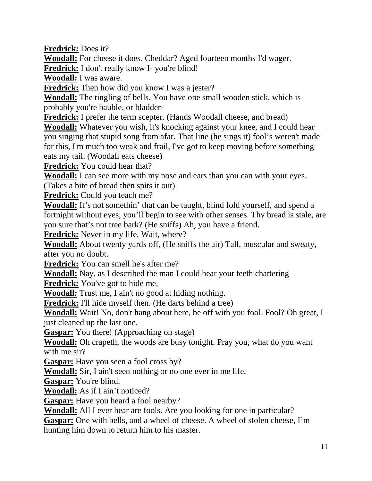**Fredrick:** Does it?

**Woodall:** For cheese it does. Cheddar? Aged fourteen months I'd wager.

**Fredrick:** I don't really know I- you're blind!

**Woodall:** I was aware.

**Fredrick:** Then how did you know I was a jester?

**Woodall:** The tingling of bells. You have one small wooden stick, which is probably you're bauble, or bladder-

**Fredrick:** I prefer the term scepter. (Hands Woodall cheese, and bread)

**Woodall:** Whatever you wish, it's knocking against your knee, and I could hear you singing that stupid song from afar. That line (he sings it) fool's weren't made for this, I'm much too weak and frail, I've got to keep moving before something eats my tail. (Woodall eats cheese)

**Fredrick:** You could hear that?

**Woodall:** I can see more with my nose and ears than you can with your eyes.

(Takes a bite of bread then spits it out)

**Fredrick:** Could you teach me?

**Woodall:** It's not somethin' that can be taught, blind fold yourself, and spend a fortnight without eyes, you'll begin to see with other senses. Thy bread is stale, are you sure that's not tree bark? (He sniffs) Ah, you have a friend.

**Fredrick:** Never in my life. Wait, where?

**Woodall:** About twenty yards off, (He sniffs the air) Tall, muscular and sweaty, after you no doubt.

**Fredrick:** You can smell he's after me?

**Woodall:** Nay, as I described the man I could hear your teeth chattering

**Fredrick:** You've got to hide me.

**Woodall:** Trust me, I ain't no good at hiding nothing.

**Fredrick:** I'll hide myself then. (He darts behind a tree)

**Woodall:** Wait! No, don't hang about here, be off with you fool. Fool? Oh great, I just cleaned up the last one.

**Gaspar:** You there! (Approaching on stage)

**Woodall:** Oh crapeth, the woods are busy tonight. Pray you, what do you want with me sir?

**Gaspar:** Have you seen a fool cross by?

**Woodall:** Sir, I ain't seen nothing or no one ever in me life.

**Gaspar:** You're blind.

**Woodall:** As if I ain't noticed?

**Gaspar:** Have you heard a fool nearby?

**Woodall:** All I ever hear are fools. Are you looking for one in particular?

**Gaspar:** One with bells, and a wheel of cheese. A wheel of stolen cheese, I'm hunting him down to return him to his master.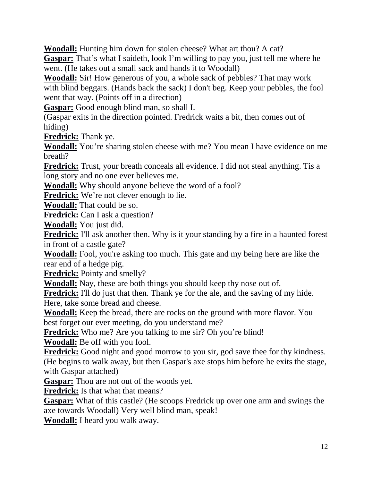**Woodall:** Hunting him down for stolen cheese? What art thou? A cat?

**Gaspar:** That's what I saideth, look I'm willing to pay you, just tell me where he went. (He takes out a small sack and hands it to Woodall)

**Woodall:** Sir! How generous of you, a whole sack of pebbles? That may work with blind beggars. (Hands back the sack) I don't beg. Keep your pebbles, the fool went that way. (Points off in a direction)

**Gaspar:** Good enough blind man, so shall I.

(Gaspar exits in the direction pointed. Fredrick waits a bit, then comes out of hiding)

**Fredrick:** Thank ye.

**Woodall:** You're sharing stolen cheese with me? You mean I have evidence on me breath?

**Fredrick:** Trust, your breath conceals all evidence. I did not steal anything. Tis a long story and no one ever believes me.

**Woodall:** Why should anyone believe the word of a fool?

**Fredrick:** We're not clever enough to lie.

**Woodall:** That could be so.

**Fredrick:** Can I ask a question?

**Woodall:** You just did.

**Fredrick:** I'll ask another then. Why is it your standing by a fire in a haunted forest in front of a castle gate?

**Woodall:** Fool, you're asking too much. This gate and my being here are like the rear end of a hedge pig.

**Fredrick:** Pointy and smelly?

**Woodall:** Nay, these are both things you should keep thy nose out of.

**Fredrick:** I'll do just that then. Thank ye for the ale, and the saving of my hide. Here, take some bread and cheese.

**Woodall:** Keep the bread, there are rocks on the ground with more flavor. You best forget our ever meeting, do you understand me?

**Fredrick:** Who me? Are you talking to me sir? Oh you're blind!

**Woodall:** Be off with you fool.

**Fredrick:** Good night and good morrow to you sir, god save thee for thy kindness. (He begins to walk away, but then Gaspar's axe stops him before he exits the stage, with Gaspar attached)

**Gaspar:** Thou are not out of the woods yet.

**Fredrick:** Is that what that means?

**Gaspar:** What of this castle? (He scoops Fredrick up over one arm and swings the axe towards Woodall) Very well blind man, speak!

**Woodall:** I heard you walk away.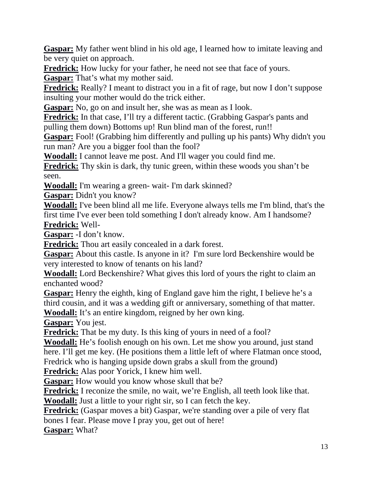**Gaspar:** My father went blind in his old age, I learned how to imitate leaving and be very quiet on approach.

**Fredrick:** How lucky for your father, he need not see that face of yours.

**Gaspar:** That's what my mother said.

**Fredrick:** Really? I meant to distract you in a fit of rage, but now I don't suppose insulting your mother would do the trick either.

**Gaspar:** No, go on and insult her, she was as mean as I look.

**Fredrick:** In that case, I'll try a different tactic. (Grabbing Gaspar's pants and pulling them down) Bottoms up! Run blind man of the forest, run!!

**Gaspar:** Fool! (Grabbing him differently and pulling up his pants) Why didn't you run man? Are you a bigger fool than the fool?

**Woodall:** I cannot leave me post. And I'll wager you could find me.

**Fredrick:** Thy skin is dark, thy tunic green, within these woods you shan't be seen.

**Woodall:** I'm wearing a green- wait- I'm dark skinned?

**Gaspar:** Didn't you know?

**Woodall:** I've been blind all me life. Everyone always tells me I'm blind, that's the first time I've ever been told something I don't already know. Am I handsome? **Fredrick:** Well-

**Gaspar:** -I don't know.

**Fredrick:** Thou art easily concealed in a dark forest.

**Gaspar:** About this castle. Is anyone in it? I'm sure lord Beckenshire would be very interested to know of tenants on his land?

**Woodall:** Lord Beckenshire? What gives this lord of yours the right to claim an enchanted wood?

**Gaspar:** Henry the eighth, king of England gave him the right, I believe he's a third cousin, and it was a wedding gift or anniversary, something of that matter. **Woodall:** It's an entire kingdom, reigned by her own king.

**Gaspar:** You jest.

**Fredrick:** That be my duty. Is this king of yours in need of a fool?

**Woodall:** He's foolish enough on his own. Let me show you around, just stand here. I'll get me key. (He positions them a little left of where Flatman once stood, Fredrick who is hanging upside down grabs a skull from the ground)

**Fredrick:** Alas poor Yorick, I knew him well.

**Gaspar:** How would you know whose skull that be?

**Fredrick:** I reconize the smile, no wait, we're English, all teeth look like that.

**Woodall:** Just a little to your right sir, so I can fetch the key.

**Fredrick:** (Gaspar moves a bit) Gaspar, we're standing over a pile of very flat bones I fear. Please move I pray you, get out of here!

**Gaspar:** What?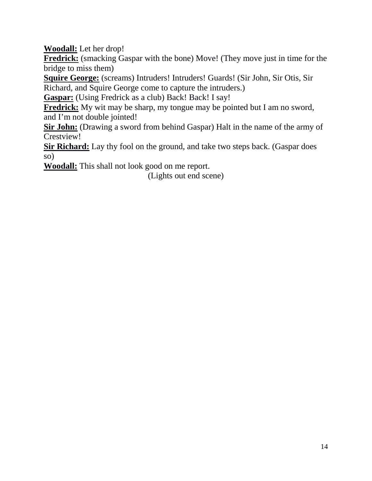**Woodall:** Let her drop!

**Fredrick:** (smacking Gaspar with the bone) Move! (They move just in time for the bridge to miss them)

**Squire George:** (screams) Intruders! Intruders! Guards! (Sir John, Sir Otis, Sir Richard, and Squire George come to capture the intruders.)

Gaspar: (Using Fredrick as a club) Back! Back! I say!

**Fredrick:** My wit may be sharp, my tongue may be pointed but I am no sword, and I'm not double jointed!

**Sir John:** (Drawing a sword from behind Gaspar) Halt in the name of the army of Crestview!

**Sir Richard:** Lay thy fool on the ground, and take two steps back. (Gaspar does so)

**Woodall:** This shall not look good on me report.

(Lights out end scene)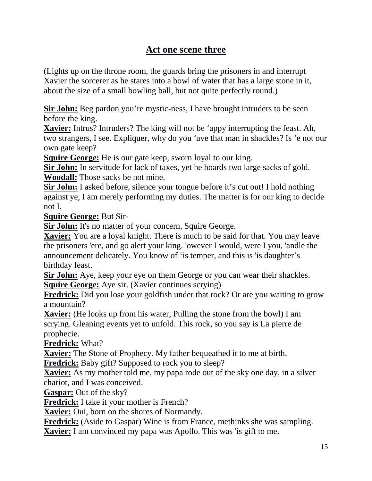## **Act one scene three**

(Lights up on the throne room, the guards bring the prisoners in and interrupt Xavier the sorcerer as he stares into a bowl of water that has a large stone in it, about the size of a small bowling ball, but not quite perfectly round.)

**Sir John:** Beg pardon you're mystic-ness, I have brought intruders to be seen before the king.

**Xavier:** Intrus? Intruders? The king will not be 'appy interrupting the feast. Ah, two strangers, I see. Expliquer, why do you 'ave that man in shackles? Is 'e not our own gate keep?

**Squire George:** He is our gate keep, sworn loyal to our king.

**Sir John:** In servitude for lack of taxes, yet he hoards two large sacks of gold. **Woodall:** Those sacks be not mine.

**Sir John:** I asked before, silence your tongue before it's cut out! I hold nothing against ye, I am merely performing my duties. The matter is for our king to decide not I.

**Squire George:** But Sir-

**Sir John:** It's no matter of your concern, Squire George.

**Xavier:** You are a loyal knight. There is much to be said for that. You may leave the prisoners 'ere, and go alert your king. 'owever I would, were I you, 'andle the announcement delicately. You know of 'is temper, and this is 'is daughter's birthday feast.

**Sir John:** Aye, keep your eye on them George or you can wear their shackles. **Squire George:** Aye sir. (Xavier continues scrying)

**Fredrick:** Did you lose your goldfish under that rock? Or are you waiting to grow a mountain?

**Xavier:** (He looks up from his water, Pulling the stone from the bowl) I am scrying. Gleaning events yet to unfold. This rock, so you say is La pierre de prophecie.

**Fredrick:** What?

**Xavier:** The Stone of Prophecy. My father bequeathed it to me at birth.

**Fredrick:** Baby gift? Supposed to rock you to sleep?

**Xavier:** As my mother told me, my papa rode out of the sky one day, in a silver chariot, and I was conceived.

**Gaspar:** Out of the sky?

**Fredrick:** I take it your mother is French?

**Xavier:** Oui, born on the shores of Normandy.

**Fredrick:** (Aside to Gaspar) Wine is from France, methinks she was sampling.

**Xavier:** I am convinced my papa was Apollo. This was 'is gift to me.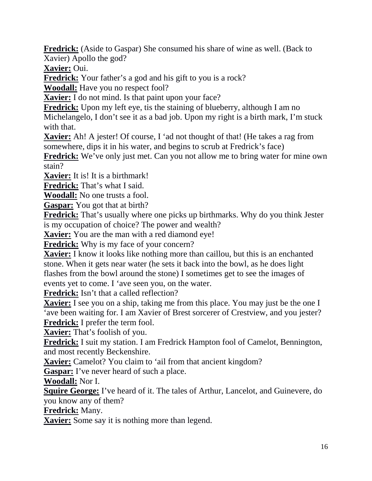**Fredrick:** (Aside to Gaspar) She consumed his share of wine as well. (Back to Xavier) Apollo the god?

**Xavier:** Oui.

**Fredrick:** Your father's a god and his gift to you is a rock?

**Woodall:** Have you no respect fool?

**Xavier:** I do not mind. Is that paint upon your face?

**Fredrick:** Upon my left eye, tis the staining of blueberry, although I am no

Michelangelo, I don't see it as a bad job. Upon my right is a birth mark, I'm stuck with that.

**Xavier:** Ah! A jester! Of course, I 'ad not thought of that! (He takes a rag from somewhere, dips it in his water, and begins to scrub at Fredrick's face)

**Fredrick:** We've only just met. Can you not allow me to bring water for mine own stain?

**Xavier:** It is! It is a birthmark!

**Fredrick:** That's what I said.

**Woodall:** No one trusts a fool.

**Gaspar:** You got that at birth?

**Fredrick:** That's usually where one picks up birthmarks. Why do you think Jester is my occupation of choice? The power and wealth?

**Xavier:** You are the man with a red diamond eye!

**Fredrick:** Why is my face of your concern?

**Xavier:** I know it looks like nothing more than caillou, but this is an enchanted stone. When it gets near water (he sets it back into the bowl, as he does light flashes from the bowl around the stone) I sometimes get to see the images of events yet to come. I 'ave seen you, on the water.

**Fredrick:** Isn't that a called reflection?

**Xavier:** I see you on a ship, taking me from this place. You may just be the one I 'ave been waiting for. I am Xavier of Brest sorcerer of Crestview, and you jester? **Fredrick:** I prefer the term fool.

**Xavier:** That's foolish of you.

**Fredrick:** I suit my station. I am Fredrick Hampton fool of Camelot, Bennington, and most recently Beckenshire.

**Xavier:** Camelot? You claim to 'ail from that ancient kingdom?

**Gaspar:** I've never heard of such a place.

**Woodall:** Nor I.

**Squire George:** I've heard of it. The tales of Arthur, Lancelot, and Guinevere, do you know any of them?

**Fredrick:** Many.

**Xavier:** Some say it is nothing more than legend.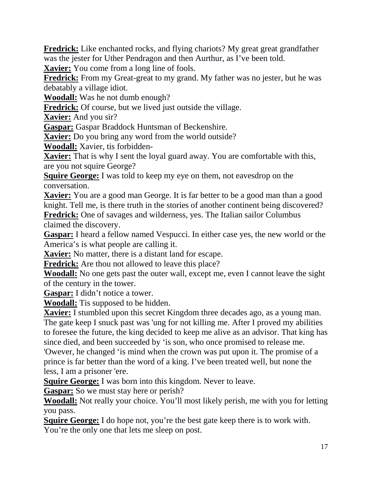**Fredrick:** Like enchanted rocks, and flying chariots? My great great grandfather was the jester for Uther Pendragon and then Aurthur, as I've been told.

**Xavier:** You come from a long line of fools.

**Fredrick:** From my Great-great to my grand. My father was no jester, but he was debatably a village idiot.

**Woodall:** Was he not dumb enough?

**Fredrick:** Of course, but we lived just outside the village.

**Xavier:** And you sir?

**Gaspar:** Gaspar Braddock Huntsman of Beckenshire.

**Xavier:** Do you bring any word from the world outside?

**Woodall:** Xavier, tis forbidden-

**Xavier:** That is why I sent the loyal guard away. You are comfortable with this, are you not squire George?

**Squire George:** I was told to keep my eye on them, not eavesdrop on the conversation.

**Xavier:** You are a good man George. It is far better to be a good man than a good knight. Tell me, is there truth in the stories of another continent being discovered?

**Fredrick:** One of savages and wilderness, yes. The Italian sailor Columbus claimed the discovery.

**Gaspar:** I heard a fellow named Vespucci. In either case yes, the new world or the America's is what people are calling it.

**Xavier:** No matter, there is a distant land for escape.

**Fredrick:** Are thou not allowed to leave this place?

**Woodall:** No one gets past the outer wall, except me, even I cannot leave the sight of the century in the tower.

**Gaspar:** I didn't notice a tower.

**Woodall:** Tis supposed to be hidden.

**Xavier:** I stumbled upon this secret Kingdom three decades ago, as a young man. The gate keep I snuck past was 'ung for not killing me. After I proved my abilities to foresee the future, the king decided to keep me alive as an advisor. That king has since died, and been succeeded by 'is son, who once promised to release me.

'Owever, he changed 'is mind when the crown was put upon it. The promise of a prince is far better than the word of a king. I've been treated well, but none the less, I am a prisoner 'ere.

**Squire George:** I was born into this kingdom. Never to leave.

**Gaspar:** So we must stay here or perish?

**Woodall:** Not really your choice. You'll most likely perish, me with you for letting you pass.

**Squire George:** I do hope not, you're the best gate keep there is to work with. You're the only one that lets me sleep on post.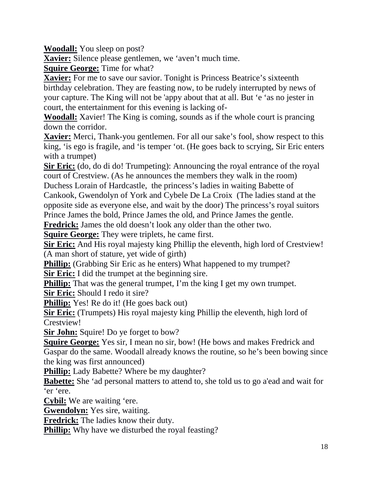**Woodall:** You sleep on post?

**Xavier:** Silence please gentlemen, we 'aven't much time.

**Squire George:** Time for what?

**Xavier:** For me to save our savior. Tonight is Princess Beatrice's sixteenth birthday celebration. They are feasting now, to be rudely interrupted by news of your capture. The King will not be 'appy about that at all. But 'e 'as no jester in court, the entertainment for this evening is lacking of-

**Woodall:** Xavier! The King is coming, sounds as if the whole court is prancing down the corridor.

**Xavier:** Merci, Thank-you gentlemen. For all our sake's fool, show respect to this king, 'is ego is fragile, and 'is temper 'ot. (He goes back to scrying, Sir Eric enters with a trumpet)

**Sir Eric:** (do, do di do! Trumpeting): Announcing the royal entrance of the royal court of Crestview. (As he announces the members they walk in the room) Duchess Lorain of Hardcastle, the princess's ladies in waiting Babette of

Cankook, Gwendolyn of York and Cybele De La Croix (The ladies stand at the opposite side as everyone else, and wait by the door) The princess's royal suitors Prince James the bold, Prince James the old, and Prince James the gentle.

**Fredrick:** James the old doesn't look any older than the other two.

**Squire George:** They were triplets, he came first.

**Sir Eric:** And His royal majesty king Phillip the eleventh, high lord of Crestview! (A man short of stature, yet wide of girth)

**Phillip:** (Grabbing Sir Eric as he enters) What happened to my trumpet?

**Sir Eric:** I did the trumpet at the beginning sire.

**Phillip:** That was the general trumpet, I'm the king I get my own trumpet.

**Sir Eric:** Should I redo it sire?

**Phillip:** Yes! Re do it! (He goes back out)

**Sir Eric:** (Trumpets) His royal majesty king Phillip the eleventh, high lord of Crestview!

**Sir John:** Squire! Do ye forget to bow?

**Squire George:** Yes sir, I mean no sir, bow! (He bows and makes Fredrick and Gaspar do the same. Woodall already knows the routine, so he's been bowing since the king was first announced)

**Phillip:** Lady Babette? Where be my daughter?

**Babette:** She 'ad personal matters to attend to, she told us to go a'ead and wait for 'er 'ere.

**Cybil:** We are waiting 'ere.

**Gwendolyn:** Yes sire, waiting.

**Fredrick:** The ladies know their duty.

**Phillip:** Why have we disturbed the royal feasting?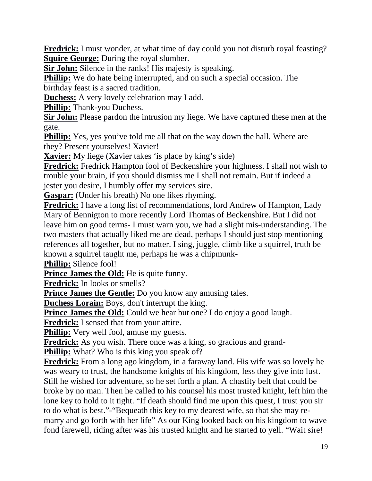**Fredrick:** I must wonder, at what time of day could you not disturb royal feasting? **Squire George:** During the royal slumber.

**Sir John:** Silence in the ranks! His majesty is speaking.

**Phillip:** We do hate being interrupted, and on such a special occasion. The birthday feast is a sacred tradition.

**Duchess:** A very lovely celebration may I add.

**Phillip:** Thank-you Duchess.

**Sir John:** Please pardon the intrusion my liege. We have captured these men at the gate.

**Phillip:** Yes, yes you've told me all that on the way down the hall. Where are they? Present yourselves! Xavier!

**Xavier:** My liege (Xavier takes 'is place by king's side)

**Fredrick:** Fredrick Hampton fool of Beckenshire your highness. I shall not wish to trouble your brain, if you should dismiss me I shall not remain. But if indeed a jester you desire, I humbly offer my services sire.

**Gaspar:** (Under his breath) No one likes rhyming.

**Fredrick:** I have a long list of recommendations, lord Andrew of Hampton, Lady Mary of Bennigton to more recently Lord Thomas of Beckenshire. But I did not leave him on good terms- I must warn you, we had a slight mis-understanding. The two masters that actually liked me are dead, perhaps I should just stop mentioning references all together, but no matter. I sing, juggle, climb like a squirrel, truth be known a squirrel taught me, perhaps he was a chipmunk-

**Phillip:** Silence fool!

**Prince James the Old:** He is quite funny.

**Fredrick:** In looks or smells?

**Prince James the Gentle:** Do you know any amusing tales.

**Duchess Lorain:** Boys, don't interrupt the king.

**Prince James the Old:** Could we hear but one? I do enjoy a good laugh.

**Fredrick:** I sensed that from your attire.

**Phillip:** Very well fool, amuse my guests.

**Fredrick:** As you wish. There once was a king, so gracious and grand-

**Phillip:** What? Who is this king you speak of?

**Fredrick:** From a long ago kingdom, in a faraway land. His wife was so lovely he was weary to trust, the handsome knights of his kingdom, less they give into lust. Still he wished for adventure, so he set forth a plan. A chastity belt that could be broke by no man. Then he called to his counsel his most trusted knight, left him the lone key to hold to it tight. "If death should find me upon this quest, I trust you sir to do what is best."-"Bequeath this key to my dearest wife, so that she may remarry and go forth with her life" As our King looked back on his kingdom to wave fond farewell, riding after was his trusted knight and he started to yell. "Wait sire!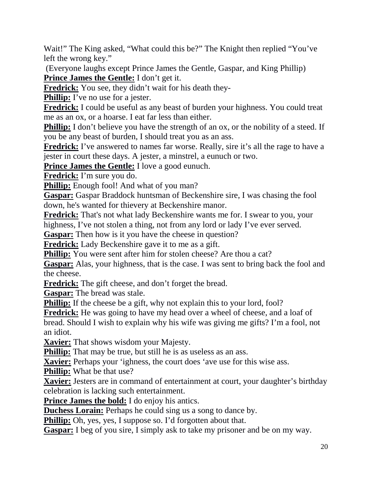Wait!" The King asked, "What could this be?" The Knight then replied "You've left the wrong key."

 (Everyone laughs except Prince James the Gentle, Gaspar, and King Phillip) **Prince James the Gentle:** I don't get it.

**Fredrick:** You see, they didn't wait for his death they-

**Phillip:** I've no use for a jester.

**Fredrick:** I could be useful as any beast of burden your highness. You could treat me as an ox, or a hoarse. I eat far less than either.

**Phillip:** I don't believe you have the strength of an ox, or the nobility of a steed. If you be any beast of burden, I should treat you as an ass.

Fredrick: I've answered to names far worse. Really, sire it's all the rage to have a jester in court these days. A jester, a minstrel, a eunuch or two.

**Prince James the Gentle:** I love a good eunuch.

**Fredrick:** I'm sure you do.

**Phillip:** Enough fool! And what of you man?

**Gaspar:** Gaspar Braddock huntsman of Beckenshire sire, I was chasing the fool down, he's wanted for thievery at Beckenshire manor.

**Fredrick:** That's not what lady Beckenshire wants me for. I swear to you, your highness, I've not stolen a thing, not from any lord or lady I've ever served.

**Gaspar:** Then how is it you have the cheese in question?

**Fredrick:** Lady Beckenshire gave it to me as a gift.

**Phillip:** You were sent after him for stolen cheese? Are thou a cat?

**Gaspar:** Alas, your highness, that is the case. I was sent to bring back the fool and the cheese.

**Fredrick:** The gift cheese, and don't forget the bread.

**Gaspar:** The bread was stale.

**Phillip:** If the cheese be a gift, why not explain this to your lord, fool?

**Fredrick:** He was going to have my head over a wheel of cheese, and a loaf of

bread. Should I wish to explain why his wife was giving me gifts? I'm a fool, not an idiot.

**Xavier:** That shows wisdom your Majesty.

**Phillip:** That may be true, but still he is as useless as an ass.

**Xavier:** Perhaps your 'ighness, the court does 'ave use for this wise ass.

**Phillip:** What be that use?

**Xavier:** Jesters are in command of entertainment at court, your daughter's birthday celebration is lacking such entertainment.

**Prince James the bold:** I do enjoy his antics.

**Duchess Lorain:** Perhaps he could sing us a song to dance by.

**Phillip:** Oh, yes, yes, I suppose so. I'd forgotten about that.

**Gaspar:** I beg of you sire, I simply ask to take my prisoner and be on my way.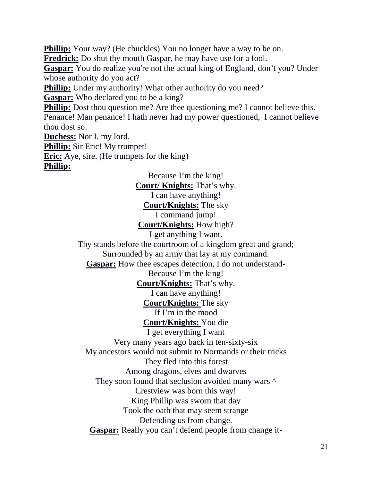**Phillip:** Your way? (He chuckles) You no longer have a way to be on. **Fredrick:** Do shut thy mouth Gaspar, he may have use for a fool. Gaspar: You do realize you're not the actual king of England, don't you? Under whose authority do you act? **Phillip:** Under my authority! What other authority do you need? **Gaspar:** Who declared you to be a king? **Phillip:** Dost thou question me? Are thee questioning me? I cannot believe this. Penance! Man penance! I hath never had my power questioned, I cannot believe thou dost so. **Duchess:** Nor I, my lord. **Phillip:** Sir Eric! My trumpet! **Eric:** Aye, sire. (He trumpets for the king) **Phillip:**

> Because I'm the king! **Court/ Knights:** That's why. I can have anything! **Court/Knights:** The sky I command jump! **Court/Knights:** How high? I get anything I want. Thy stands before the courtroom of a kingdom great and grand; Surrounded by an army that lay at my command. **Gaspar:** How thee escapes detection, I do not understand-Because I'm the king! **Court/Knights:** That's why. I can have anything! **Court/Knights:** The sky If I'm in the mood **Court/Knights:** You die I get everything I want Very many years ago back in ten-sixty-six My ancestors would not submit to Normands or their tricks They fled into this forest Among dragons, elves and dwarves They soon found that seclusion avoided many wars  $\wedge$ Crestview was born this way! King Phillip was sworn that day Took the oath that may seem strange Defending us from change. **Gaspar:** Really you can't defend people from change it-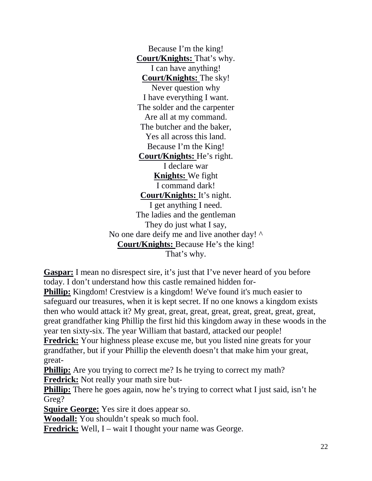Because I'm the king! **Court/Knights:** That's why. I can have anything! **Court/Knights:** The sky! Never question why I have everything I want. The solder and the carpenter Are all at my command. The butcher and the baker, Yes all across this land. Because I'm the King! **Court/Knights:** He's right. I declare war **Knights:** We fight I command dark! **Court/Knights:** It's night. I get anything I need. The ladies and the gentleman They do just what I say, No one dare deify me and live another day!  $\wedge$ **Court/Knights:** Because He's the king! That's why.

**Gaspar:** I mean no disrespect sire, it's just that I've never heard of you before today. I don't understand how this castle remained hidden for-

**Phillip:** Kingdom! Crestview is a kingdom! We've found it's much easier to safeguard our treasures, when it is kept secret. If no one knows a kingdom exists then who would attack it? My great, great, great, great, great, great, great, great, great grandfather king Phillip the first hid this kingdom away in these woods in the year ten sixty-six. The year William that bastard, attacked our people!

**Fredrick:** Your highness please excuse me, but you listed nine greats for your grandfather, but if your Phillip the eleventh doesn't that make him your great, great-

**Phillip:** Are you trying to correct me? Is he trying to correct my math? **Fredrick:** Not really your math sire but-

**Phillip:** There he goes again, now he's trying to correct what I just said, isn't he Greg?

**Squire George:** Yes sire it does appear so.

**Woodall:** You shouldn't speak so much fool.

**Fredrick:** Well, I – wait I thought your name was George.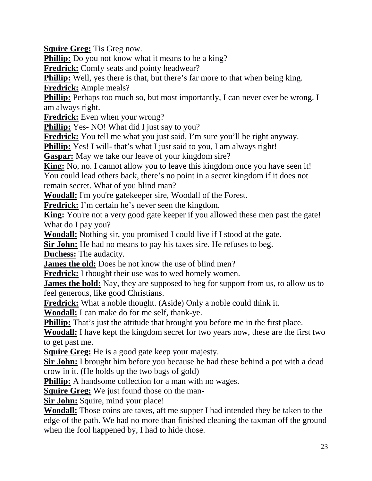**Squire Greg:** Tis Greg now.

**Phillip:** Do you not know what it means to be a king?

**Fredrick:** Comfy seats and pointy headwear?

**Phillip:** Well, yes there is that, but there's far more to that when being king. **Fredrick:** Ample meals?

**Phillip:** Perhaps too much so, but most importantly, I can never ever be wrong. I am always right.

**Fredrick:** Even when your wrong?

**Phillip:** Yes- NO! What did I just say to you?

**Fredrick:** You tell me what you just said, I'm sure you'll be right anyway.

**Phillip:** Yes! I will-that's what I just said to you, I am always right!

**Gaspar:** May we take our leave of your kingdom sire?

**King:** No, no. I cannot allow you to leave this kingdom once you have seen it! You could lead others back, there's no point in a secret kingdom if it does not remain secret. What of you blind man?

**Woodall:** I'm you're gatekeeper sire, Woodall of the Forest.

**Fredrick:** I'm certain he's never seen the kingdom.

**King:** You're not a very good gate keeper if you allowed these men past the gate! What do I pay you?

**Woodall:** Nothing sir, you promised I could live if I stood at the gate.

**Sir John:** He had no means to pay his taxes sire. He refuses to beg.

**Duchess:** The audacity.

**James the old:** Does he not know the use of blind men?

**Fredrick:** I thought their use was to wed homely women.

**James the bold:** Nay, they are supposed to beg for support from us, to allow us to feel generous, like good Christians.

**Fredrick:** What a noble thought. (Aside) Only a noble could think it.

**Woodall:** I can make do for me self, thank-ye.

**Phillip:** That's just the attitude that brought you before me in the first place.

**Woodall:** I have kept the kingdom secret for two years now, these are the first two to get past me.

**Squire Greg:** He is a good gate keep your majesty.

**Sir John:** I brought him before you because he had these behind a pot with a dead crow in it. (He holds up the two bags of gold)

**Phillip:** A handsome collection for a man with no wages.

**Squire Greg:** We just found those on the man-

**Sir John:** Squire, mind your place!

**Woodall:** Those coins are taxes, aft me supper I had intended they be taken to the edge of the path. We had no more than finished cleaning the taxman off the ground when the fool happened by, I had to hide those.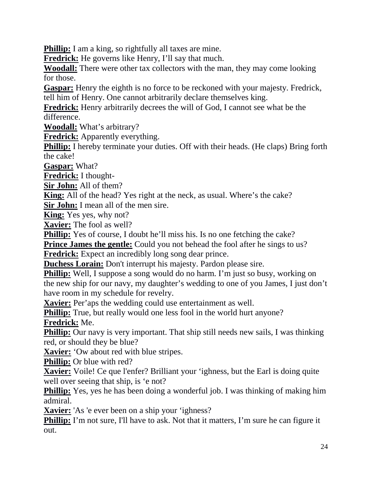**Phillip:** I am a king, so rightfully all taxes are mine.

**Fredrick:** He governs like Henry, I'll say that much.

**Woodall:** There were other tax collectors with the man, they may come looking for those.

**Gaspar:** Henry the eighth is no force to be reckoned with your majesty. Fredrick, tell him of Henry. One cannot arbitrarily declare themselves king.

**Fredrick:** Henry arbitrarily decrees the will of God, I cannot see what be the difference.

**Woodall:** What's arbitrary?

**Fredrick:** Apparently everything.

**Phillip:** I hereby terminate your duties. Off with their heads. (He claps) Bring forth the cake!

**Gaspar:** What?

**Fredrick:** I thought-

**Sir John:** All of them?

**King:** All of the head? Yes right at the neck, as usual. Where's the cake?

**Sir John:** I mean all of the men sire.

**King:** Yes yes, why not?

**Xavier:** The fool as well?

**Phillip:** Yes of course, I doubt he'll miss his. Is no one fetching the cake?

**Prince James the gentle:** Could you not behead the fool after he sings to us?

**Fredrick:** Expect an incredibly long song dear prince.

**Duchess Lorain:** Don't interrupt his majesty. Pardon please sire.

**Phillip:** Well, I suppose a song would do no harm. I'm just so busy, working on the new ship for our navy, my daughter's wedding to one of you James, I just don't have room in my schedule for revelry.

**Xavier:** Per'aps the wedding could use entertainment as well.

**Phillip:** True, but really would one less fool in the world hurt anyone? **Fredrick:** Me.

**Phillip:** Our navy is very important. That ship still needs new sails, I was thinking red, or should they be blue?

**Xavier:** 'Ow about red with blue stripes.

**Phillip:** Or blue with red?

**Xavier:** Voile! Ce que l'enfer? Brilliant your 'ighness, but the Earl is doing quite well over seeing that ship, is 'e not?

**Phillip:** Yes, yes he has been doing a wonderful job. I was thinking of making him admiral.

**Xavier:** 'As 'e ever been on a ship your 'ighness?

**Phillip:** I'm not sure, I'll have to ask. Not that it matters, I'm sure he can figure it out.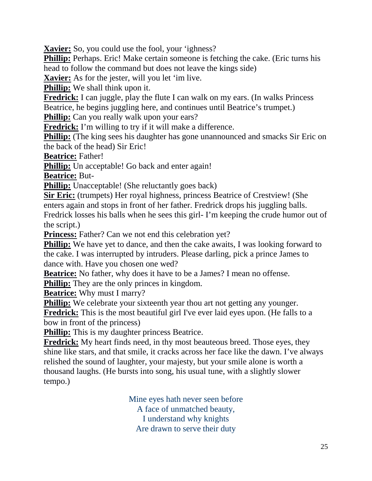**Xavier:** So, you could use the fool, your 'ighness?

**Phillip:** Perhaps. Eric! Make certain someone is fetching the cake. (Eric turns his head to follow the command but does not leave the kings side)

**Xavier:** As for the jester, will you let 'im live.

**Phillip:** We shall think upon it.

**Fredrick:** I can juggle, play the flute I can walk on my ears. (In walks Princess Beatrice, he begins juggling here, and continues until Beatrice's trumpet.)

**Phillip:** Can you really walk upon your ears?

**Fredrick:** I'm willing to try if it will make a difference.

**Phillip:** (The king sees his daughter has gone unannounced and smacks Sir Eric on the back of the head) Sir Eric!

**Beatrice:** Father!

**Phillip:** Un acceptable! Go back and enter again!

**Beatrice:** But-

**Phillip:** Unacceptable! (She reluctantly goes back)

**Sir Eric:** (trumpets) Her royal highness, princess Beatrice of Crestview! (She enters again and stops in front of her father. Fredrick drops his juggling balls. Fredrick losses his balls when he sees this girl- I'm keeping the crude humor out of the script.)

**Princess:** Father? Can we not end this celebration yet?

**Phillip:** We have yet to dance, and then the cake awaits, I was looking forward to the cake. I was interrupted by intruders. Please darling, pick a prince James to dance with. Have you chosen one wed?

**Beatrice:** No father, why does it have to be a James? I mean no offense.

**Phillip:** They are the only princes in kingdom.

**Beatrice:** Why must I marry?

**Phillip:** We celebrate your sixteenth year thou art not getting any younger. **Fredrick:** This is the most beautiful girl I've ever laid eyes upon. (He falls to a bow in front of the princess)

**Phillip:** This is my daughter princess Beatrice.

**Fredrick:** My heart finds need, in thy most beauteous breed. Those eyes, they shine like stars, and that smile, it cracks across her face like the dawn. I've always relished the sound of laughter, your majesty, but your smile alone is worth a thousand laughs. (He bursts into song, his usual tune, with a slightly slower tempo.)

> Mine eyes hath never seen before A face of unmatched beauty, I understand why knights Are drawn to serve their duty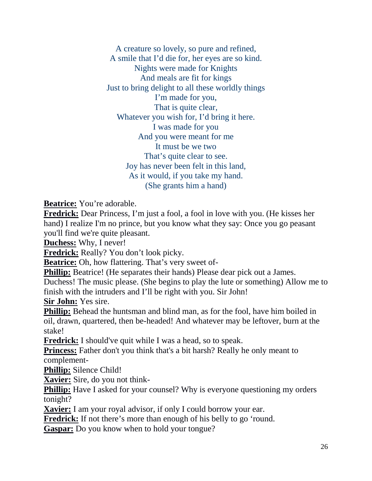A creature so lovely, so pure and refined, A smile that I'd die for, her eyes are so kind. Nights were made for Knights And meals are fit for kings Just to bring delight to all these worldly things I'm made for you, That is quite clear, Whatever you wish for, I'd bring it here. I was made for you And you were meant for me It must be we two That's quite clear to see. Joy has never been felt in this land, As it would, if you take my hand. (She grants him a hand)

**Beatrice:** You're adorable.

**Fredrick:** Dear Princess, I'm just a fool, a fool in love with you. (He kisses her hand) I realize I'm no prince, but you know what they say: Once you go peasant you'll find we're quite pleasant.

**Duchess:** Why, I never!

**Fredrick:** Really? You don't look picky.

**Beatrice:** Oh, how flattering. That's very sweet of-

**Phillip:** Beatrice! (He separates their hands) Please dear pick out a James.

Duchess! The music please. (She begins to play the lute or something) Allow me to finish with the intruders and I'll be right with you. Sir John!

**Sir John:** Yes sire.

**Phillip:** Behead the huntsman and blind man, as for the fool, have him boiled in oil, drawn, quartered, then be-headed! And whatever may be leftover, burn at the stake!

**Fredrick:** I should've quit while I was a head, so to speak.

**Princess:** Father don't you think that's a bit harsh? Really he only meant to complement-

**Phillip:** Silence Child!

**Xavier:** Sire, do you not think-

**Phillip:** Have I asked for your counsel? Why is everyone questioning my orders tonight?

**Xavier:** I am your royal advisor, if only I could borrow your ear.

**Fredrick:** If not there's more than enough of his belly to go 'round.

**Gaspar:** Do you know when to hold your tongue?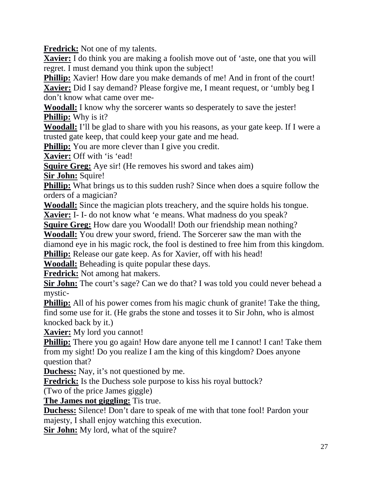**Fredrick:** Not one of my talents.

**Xavier:** I do think you are making a foolish move out of 'aste, one that you will regret. I must demand you think upon the subject!

**Phillip:** Xavier! How dare you make demands of me! And in front of the court! **Xavier:** Did I say demand? Please forgive me, I meant request, or 'umbly beg I don't know what came over me-

**Woodall:** I know why the sorcerer wants so desperately to save the jester! **Phillip:** Why is it?

**Woodall:** I'll be glad to share with you his reasons, as your gate keep. If I were a trusted gate keep, that could keep your gate and me head.

**Phillip:** You are more clever than I give you credit.

**Xavier:** Off with 'is 'ead!

**Squire Greg:** Aye sir! (He removes his sword and takes aim)

**Sir John:** Squire!

**Phillip:** What brings us to this sudden rush? Since when does a squire follow the orders of a magician?

**Woodall:** Since the magician plots treachery, and the squire holds his tongue.

**Xavier:** I- I- do not know what 'e means. What madness do you speak?

**Squire Greg:** How dare you Woodall! Doth our friendship mean nothing?

**Woodall:** You drew your sword, friend. The Sorcerer saw the man with the

diamond eye in his magic rock, the fool is destined to free him from this kingdom.

**Phillip:** Release our gate keep. As for Xavier, off with his head!

**Woodall:** Beheading is quite popular these days.

**Fredrick:** Not among hat makers.

**Sir John:** The court's sage? Can we do that? I was told you could never behead a mystic-

**Phillip:** All of his power comes from his magic chunk of granite! Take the thing, find some use for it. (He grabs the stone and tosses it to Sir John, who is almost knocked back by it.)

**Xavier:** My lord you cannot!

**Phillip:** There you go again! How dare anyone tell me I cannot! I can! Take them from my sight! Do you realize I am the king of this kingdom? Does anyone question that?

**Duchess:** Nay, it's not questioned by me.

**Fredrick:** Is the Duchess sole purpose to kiss his royal buttock?

(Two of the price James giggle)

**The James not giggling:** Tis true.

**Duchess:** Silence! Don't dare to speak of me with that tone fool! Pardon your majesty, I shall enjoy watching this execution.

**Sir John:** My lord, what of the squire?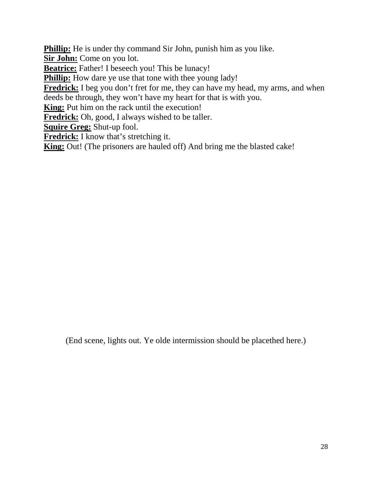**Phillip:** He is under thy command Sir John, punish him as you like.

**Sir John:** Come on you lot.

**Beatrice:** Father! I beseech you! This be lunacy!

**Phillip:** How dare ye use that tone with thee young lady!

**Fredrick:** I beg you don't fret for me, they can have my head, my arms, and when deeds be through, they won't have my heart for that is with you.

**King:** Put him on the rack until the execution!

**Fredrick:** Oh, good, I always wished to be taller.

**Squire Greg:** Shut-up fool.

**Fredrick:** I know that's stretching it.

**King:** Out! (The prisoners are hauled off) And bring me the blasted cake!

(End scene, lights out. Ye olde intermission should be placethed here.)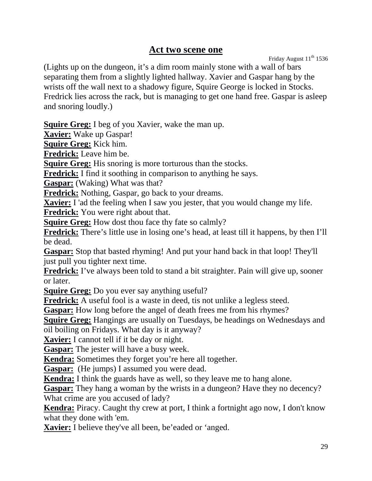#### **Act two scene one**

Friday August  $11^{th}$  1536

(Lights up on the dungeon, it's a dim room mainly stone with a wall of bars separating them from a slightly lighted hallway. Xavier and Gaspar hang by the wrists off the wall next to a shadowy figure, Squire George is locked in Stocks. Fredrick lies across the rack, but is managing to get one hand free. Gaspar is asleep and snoring loudly.)

**Squire Greg:** I beg of you Xavier, wake the man up.

**Xavier:** Wake up Gaspar!

**Squire Greg:** Kick him.

**Fredrick:** Leave him be.

**Squire Greg:** His snoring is more torturous than the stocks.

**Fredrick:** I find it soothing in comparison to anything he says.

**Gaspar:** (Waking) What was that?

**Fredrick:** Nothing, Gaspar, go back to your dreams.

**Xavier:** I 'ad the feeling when I saw you jester, that you would change my life.

**Fredrick:** You were right about that.

**Squire Greg:** How dost thou face thy fate so calmly?

**Fredrick:** There's little use in losing one's head, at least till it happens, by then I'll be dead.

**Gaspar:** Stop that basted rhyming! And put your hand back in that loop! They'll just pull you tighter next time.

**Fredrick:** I've always been told to stand a bit straighter. Pain will give up, sooner or later.

**Squire Greg:** Do you ever say anything useful?

**Fredrick:** A useful fool is a waste in deed, tis not unlike a legless steed.

**Gaspar:** How long before the angel of death frees me from his rhymes?

**Squire Greg:** Hangings are usually on Tuesdays, be headings on Wednesdays and oil boiling on Fridays. What day is it anyway?

**Xavier:** I cannot tell if it be day or night.

**Gaspar:** The jester will have a busy week.

**Kendra:** Sometimes they forget you're here all together.

**Gaspar:** (He jumps) I assumed you were dead.

**Kendra:** I think the guards have as well, so they leave me to hang alone.

**Gaspar:** They hang a woman by the wrists in a dungeon? Have they no decency? What crime are you accused of lady?

**Kendra:** Piracy. Caught thy crew at port, I think a fortnight ago now, I don't know what they done with 'em.

**Xavier:** I believe they've all been, be'eaded or 'anged.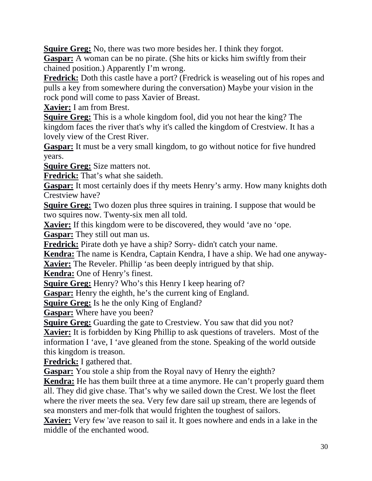**Squire Greg:** No, there was two more besides her. I think they forgot.

**Gaspar:** A woman can be no pirate. (She hits or kicks him swiftly from their chained position.) Apparently I'm wrong.

**Fredrick:** Doth this castle have a port? (Fredrick is weaseling out of his ropes and pulls a key from somewhere during the conversation) Maybe your vision in the rock pond will come to pass Xavier of Breast.

**Xavier:** I am from Brest.

**Squire Greg:** This is a whole kingdom fool, did you not hear the king? The kingdom faces the river that's why it's called the kingdom of Crestview. It has a lovely view of the Crest River.

**Gaspar:** It must be a very small kingdom, to go without notice for five hundred years.

**Squire Greg:** Size matters not.

**Fredrick:** That's what she saideth.

Gaspar: It most certainly does if thy meets Henry's army. How many knights doth Crestview have?

**Squire Greg:** Two dozen plus three squires in training. I suppose that would be two squires now. Twenty-six men all told.

**Xavier:** If this kingdom were to be discovered, they would 'ave no 'ope.

**Gaspar:** They still out man us.

**Fredrick:** Pirate doth ye have a ship? Sorry- didn't catch your name.

**Kendra:** The name is Kendra, Captain Kendra, I have a ship. We had one anyway-**Xavier:** The Reveler. Phillip 'as been deeply intrigued by that ship.

**Kendra:** One of Henry's finest.

**Squire Greg:** Henry? Who's this Henry I keep hearing of?

**Gaspar:** Henry the eighth, he's the current king of England.

**Squire Greg:** Is he the only King of England?

**Gaspar:** Where have you been?

**Squire Greg:** Guarding the gate to Crestview. You saw that did you not?

**Xavier:** It is forbidden by King Phillip to ask questions of travelers. Most of the information I 'ave, I 'ave gleaned from the stone. Speaking of the world outside this kingdom is treason.

**Fredrick:** I gathered that.

**Gaspar:** You stole a ship from the Royal navy of Henry the eighth?

**Kendra:** He has them built three at a time anymore. He can't properly guard them all. They did give chase. That's why we sailed down the Crest. We lost the fleet where the river meets the sea. Very few dare sail up stream, there are legends of sea monsters and mer-folk that would frighten the toughest of sailors.

**Xavier:** Very few 'ave reason to sail it. It goes nowhere and ends in a lake in the middle of the enchanted wood.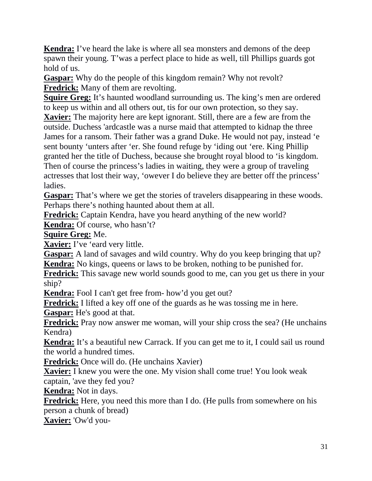**Kendra:** I've heard the lake is where all sea monsters and demons of the deep spawn their young. T'was a perfect place to hide as well, till Phillips guards got hold of us.

**Gaspar:** Why do the people of this kingdom remain? Why not revolt? **Fredrick:** Many of them are revolting.

**Squire Greg:** It's haunted woodland surrounding us. The king's men are ordered to keep us within and all others out, tis for our own protection, so they say. **Xavier:** The majority here are kept ignorant. Still, there are a few are from the outside. Duchess 'ardcastle was a nurse maid that attempted to kidnap the three James for a ransom. Their father was a grand Duke. He would not pay, instead 'e sent bounty 'unters after 'er. She found refuge by 'iding out 'ere. King Phillip granted her the title of Duchess, because she brought royal blood to 'is kingdom. Then of course the princess's ladies in waiting, they were a group of traveling actresses that lost their way, 'owever I do believe they are better off the princess' ladies.

**Gaspar:** That's where we get the stories of travelers disappearing in these woods. Perhaps there's nothing haunted about them at all.

**Fredrick:** Captain Kendra, have you heard anything of the new world?

**Kendra:** Of course, who hasn't?

**Squire Greg:** Me.

**Xavier:** I've 'eard very little.

**Gaspar:** A land of savages and wild country. Why do you keep bringing that up? **Kendra:** No kings, queens or laws to be broken, nothing to be punished for.

**Fredrick:** This savage new world sounds good to me, can you get us there in your ship?

**Kendra:** Fool I can't get free from- how'd you get out?

**Fredrick:** I lifted a key off one of the guards as he was tossing me in here.

**Gaspar:** He's good at that.

**Fredrick:** Pray now answer me woman, will your ship cross the sea? (He unchains Kendra)

**Kendra:** It's a beautiful new Carrack. If you can get me to it, I could sail us round the world a hundred times.

**Fredrick:** Once will do. (He unchains Xavier)

**Xavier:** I knew you were the one. My vision shall come true! You look weak captain, 'ave they fed you?

**Kendra:** Not in days.

**Fredrick:** Here, you need this more than I do. (He pulls from somewhere on his person a chunk of bread)

**Xavier:** 'Ow'd you-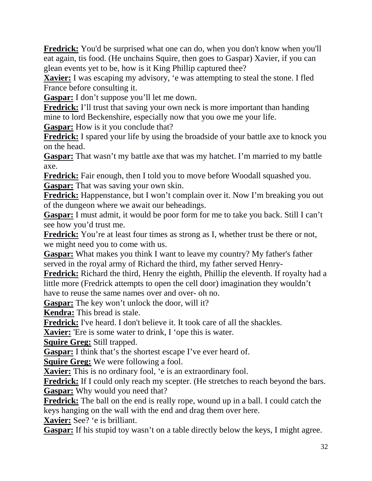**Fredrick:** You'd be surprised what one can do, when you don't know when you'll eat again, tis food. (He unchains Squire, then goes to Gaspar) Xavier, if you can glean events yet to be, how is it King Phillip captured thee?

**Xavier:** I was escaping my advisory, 'e was attempting to steal the stone. I fled France before consulting it.

**Gaspar:** I don't suppose you'll let me down.

**Fredrick:** I'll trust that saving your own neck is more important than handing mine to lord Beckenshire, especially now that you owe me your life.

**Gaspar:** How is it you conclude that?

**Fredrick:** I spared your life by using the broadside of your battle axe to knock you on the head.

**Gaspar:** That wasn't my battle axe that was my hatchet. I'm married to my battle axe.

**Fredrick:** Fair enough, then I told you to move before Woodall squashed you. **Gaspar:** That was saving your own skin.

**Fredrick:** Happenstance, but I won't complain over it. Now I'm breaking you out of the dungeon where we await our beheadings.

**Gaspar:** I must admit, it would be poor form for me to take you back. Still I can't see how you'd trust me.

Fredrick: You're at least four times as strong as I, whether trust be there or not, we might need you to come with us.

**Gaspar:** What makes you think I want to leave my country? My father's father served in the royal army of Richard the third, my father served Henry-

**Fredrick:** Richard the third, Henry the eighth, Phillip the eleventh. If royalty had a little more (Fredrick attempts to open the cell door) imagination they wouldn't have to reuse the same names over and over- oh no.

**Gaspar:** The key won't unlock the door, will it?

**Kendra:** This bread is stale.

**Fredrick:** I've heard. I don't believe it. It took care of all the shackles.

**Xavier:** 'Ere is some water to drink, I 'ope this is water.

**Squire Greg:** Still trapped.

**Gaspar:** I think that's the shortest escape I've ever heard of.

**Squire Greg:** We were following a fool.

**Xavier:** This is no ordinary fool, 'e is an extraordinary fool.

**Fredrick:** If I could only reach my scepter. (He stretches to reach beyond the bars. **Gaspar:** Why would you need that?

**Fredrick:** The ball on the end is really rope, wound up in a ball. I could catch the keys hanging on the wall with the end and drag them over here.

**Xavier:** See? 'e is brilliant.

Gaspar: If his stupid toy wasn't on a table directly below the keys, I might agree.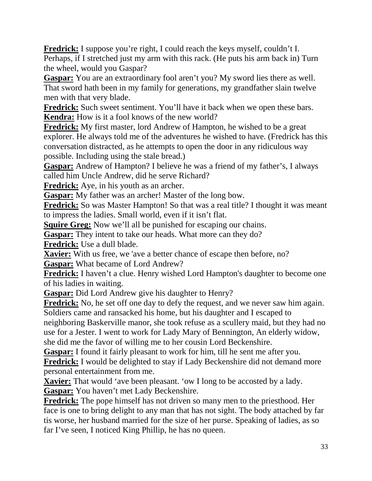**Fredrick:** I suppose you're right, I could reach the keys myself, couldn't I. Perhaps, if I stretched just my arm with this rack. (He puts his arm back in) Turn the wheel, would you Gaspar?

Gaspar: You are an extraordinary fool aren't you? My sword lies there as well. That sword hath been in my family for generations, my grandfather slain twelve men with that very blade.

**Fredrick:** Such sweet sentiment. You'll have it back when we open these bars. **Kendra:** How is it a fool knows of the new world?

**Fredrick:** My first master, lord Andrew of Hampton, he wished to be a great explorer. He always told me of the adventures he wished to have. (Fredrick has this conversation distracted, as he attempts to open the door in any ridiculous way possible. Including using the stale bread.)

**Gaspar:** Andrew of Hampton? I believe he was a friend of my father's, I always called him Uncle Andrew, did he serve Richard?

**Fredrick:** Aye, in his youth as an archer.

**Gaspar:** My father was an archer! Master of the long bow.

**Fredrick:** So was Master Hampton! So that was a real title? I thought it was meant to impress the ladies. Small world, even if it isn't flat.

**Squire Greg:** Now we'll all be punished for escaping our chains.

**Gaspar:** They intent to take our heads. What more can they do?

**Fredrick:** Use a dull blade.

**Xavier:** With us free, we 'ave a better chance of escape then before, no?

**Gaspar:** What became of Lord Andrew?

**Fredrick:** I haven't a clue. Henry wished Lord Hampton's daughter to become one of his ladies in waiting.

**Gaspar:** Did Lord Andrew give his daughter to Henry?

**Fredrick:** No, he set off one day to defy the request, and we never saw him again. Soldiers came and ransacked his home, but his daughter and I escaped to neighboring Baskerville manor, she took refuse as a scullery maid, but they had no use for a Jester. I went to work for Lady Mary of Bennington, An elderly widow, she did me the favor of willing me to her cousin Lord Beckenshire.

**Gaspar:** I found it fairly pleasant to work for him, till he sent me after you.

**Fredrick:** I would be delighted to stay if Lady Beckenshire did not demand more personal entertainment from me.

**Xavier:** That would 'ave been pleasant. 'ow I long to be accosted by a lady. **Gaspar:** You haven't met Lady Beckenshire.

**Fredrick:** The pope himself has not driven so many men to the priesthood. Her face is one to bring delight to any man that has not sight. The body attached by far tis worse, her husband married for the size of her purse. Speaking of ladies, as so far I've seen, I noticed King Phillip, he has no queen.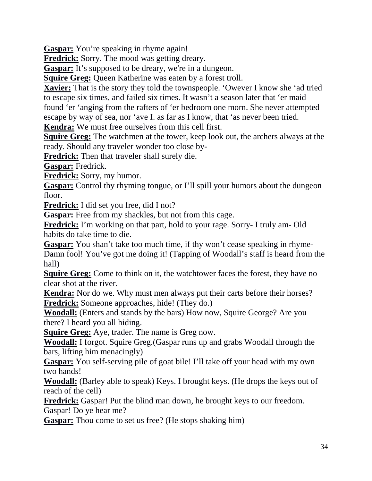**Gaspar:** You're speaking in rhyme again!

**Fredrick:** Sorry. The mood was getting dreary.

**Gaspar:** It's supposed to be dreary, we're in a dungeon.

**Squire Greg:** Queen Katherine was eaten by a forest troll.

**Xavier:** That is the story they told the townspeople. 'Owever I know she 'ad tried to escape six times, and failed six times. It wasn't a season later that 'er maid found 'er 'anging from the rafters of 'er bedroom one morn. She never attempted escape by way of sea, nor 'ave I. as far as I know, that 'as never been tried.

**Kendra:** We must free ourselves from this cell first.

**Squire Greg:** The watchmen at the tower, keep look out, the archers always at the ready. Should any traveler wonder too close by-

**Fredrick:** Then that traveler shall surely die.

**Gaspar:** Fredrick.

**Fredrick:** Sorry, my humor.

**Gaspar:** Control thy rhyming tongue, or I'll spill your humors about the dungeon floor.

**Fredrick:** I did set you free, did I not?

**Gaspar:** Free from my shackles, but not from this cage.

**Fredrick:** I'm working on that part, hold to your rage. Sorry- I truly am- Old habits do take time to die.

**Gaspar:** You shan't take too much time, if thy won't cease speaking in rhyme-Damn fool! You've got me doing it! (Tapping of Woodall's staff is heard from the hall)

**Squire Greg:** Come to think on it, the watchtower faces the forest, they have no clear shot at the river.

**Kendra:** Nor do we. Why must men always put their carts before their horses? **Fredrick:** Someone approaches, hide! (They do.)

**Woodall:** (Enters and stands by the bars) How now, Squire George? Are you there? I heard you all hiding.

**Squire Greg:** Aye, trader. The name is Greg now.

**Woodall:** I forgot. Squire Greg.(Gaspar runs up and grabs Woodall through the bars, lifting him menacingly)

**Gaspar:** You self-serving pile of goat bile! I'll take off your head with my own two hands!

**Woodall:** (Barley able to speak) Keys. I brought keys. (He drops the keys out of reach of the cell)

**Fredrick:** Gaspar! Put the blind man down, he brought keys to our freedom. Gaspar! Do ye hear me?

**Gaspar:** Thou come to set us free? (He stops shaking him)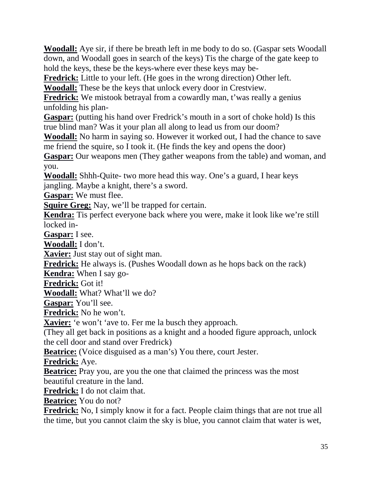**Woodall:** Aye sir, if there be breath left in me body to do so. (Gaspar sets Woodall down, and Woodall goes in search of the keys) Tis the charge of the gate keep to hold the keys, these be the keys-where ever these keys may be-

**Fredrick:** Little to your left. (He goes in the wrong direction) Other left.

**Woodall:** These be the keys that unlock every door in Crestview.

**Fredrick:** We mistook betrayal from a cowardly man, t'was really a genius unfolding his plan-

**Gaspar:** (putting his hand over Fredrick's mouth in a sort of choke hold) Is this true blind man? Was it your plan all along to lead us from our doom?

**Woodall:** No harm in saying so. However it worked out, I had the chance to save me friend the squire, so I took it. (He finds the key and opens the door)

**Gaspar:** Our weapons men (They gather weapons from the table) and woman, and you.

**Woodall:** Shhh-Quite- two more head this way. One's a guard, I hear keys jangling. Maybe a knight, there's a sword.

**Gaspar:** We must flee.

**Squire Greg:** Nay, we'll be trapped for certain.

**Kendra:** Tis perfect everyone back where you were, make it look like we're still locked in-

**Gaspar:** I see.

**Woodall:** I don't.

**Xavier:** Just stay out of sight man.

**Fredrick:** He always is. (Pushes Woodall down as he hops back on the rack)

**Kendra:** When I say go-

**Fredrick:** Got it!

**Woodall:** What? What'll we do?

**Gaspar:** You'll see.

**Fredrick:** No he won't.

**Xavier:** 'e won't 'ave to. Fer me la busch they approach.

(They all get back in positions as a knight and a hooded figure approach, unlock the cell door and stand over Fredrick)

**Beatrice:** (Voice disguised as a man's) You there, court Jester.

**Fredrick:** Aye.

**Beatrice:** Pray you, are you the one that claimed the princess was the most beautiful creature in the land.

**Fredrick:** I do not claim that.

**Beatrice:** You do not?

**Fredrick:** No, I simply know it for a fact. People claim things that are not true all the time, but you cannot claim the sky is blue, you cannot claim that water is wet,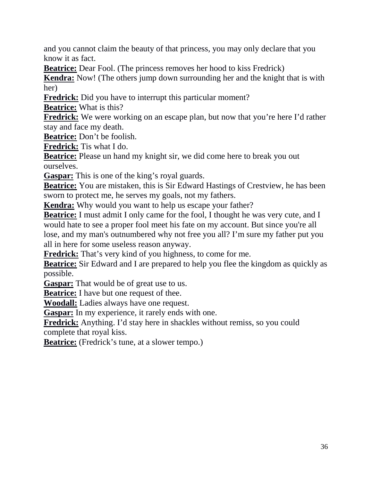and you cannot claim the beauty of that princess, you may only declare that you know it as fact.

**Beatrice:** Dear Fool. (The princess removes her hood to kiss Fredrick)

**Kendra:** Now! (The others jump down surrounding her and the knight that is with her)

**Fredrick:** Did you have to interrupt this particular moment?

**Beatrice:** What is this?

**Fredrick:** We were working on an escape plan, but now that you're here I'd rather stay and face my death.

**Beatrice:** Don't be foolish.

**Fredrick:** Tis what I do.

**Beatrice:** Please un hand my knight sir, we did come here to break you out ourselves.

**Gaspar:** This is one of the king's royal guards.

**Beatrice:** You are mistaken, this is Sir Edward Hastings of Crestview, he has been sworn to protect me, he serves my goals, not my fathers.

**Kendra:** Why would you want to help us escape your father?

**Beatrice:** I must admit I only came for the fool, I thought he was very cute, and I would hate to see a proper fool meet his fate on my account. But since you're all lose, and my man's outnumbered why not free you all? I'm sure my father put you all in here for some useless reason anyway.

**Fredrick:** That's very kind of you highness, to come for me.

**Beatrice:** Sir Edward and I are prepared to help you flee the kingdom as quickly as possible.

**Gaspar:** That would be of great use to us.

**Beatrice:** I have but one request of thee.

**Woodall:** Ladies always have one request.

**Gaspar:** In my experience, it rarely ends with one.

**Fredrick:** Anything. I'd stay here in shackles without remiss, so you could complete that royal kiss.

**Beatrice:** (Fredrick's tune, at a slower tempo.)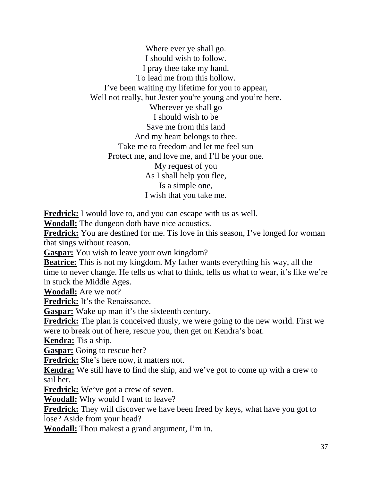Where ever ye shall go. I should wish to follow. I pray thee take my hand. To lead me from this hollow. I've been waiting my lifetime for you to appear, Well not really, but Jester you're young and you're here. Wherever ye shall go I should wish to be Save me from this land And my heart belongs to thee. Take me to freedom and let me feel sun Protect me, and love me, and I'll be your one. My request of you As I shall help you flee, Is a simple one, I wish that you take me.

**Fredrick:** I would love to, and you can escape with us as well.

**Woodall:** The dungeon doth have nice acoustics.

**Fredrick:** You are destined for me. Tis love in this season, I've longed for woman that sings without reason.

**Gaspar:** You wish to leave your own kingdom?

**Beatrice:** This is not my kingdom. My father wants everything his way, all the time to never change. He tells us what to think, tells us what to wear, it's like we're in stuck the Middle Ages.

**Woodall:** Are we not?

**Fredrick:** It's the Renaissance.

**Gaspar:** Wake up man it's the sixteenth century.

**Fredrick:** The plan is conceived thusly, we were going to the new world. First we were to break out of here, rescue you, then get on Kendra's boat.

**Kendra:** Tis a ship.

**Gaspar:** Going to rescue her?

**Fredrick:** She's here now, it matters not.

**Kendra:** We still have to find the ship, and we've got to come up with a crew to sail her.

**Fredrick:** We've got a crew of seven.

**Woodall:** Why would I want to leave?

**Fredrick:** They will discover we have been freed by keys, what have you got to lose? Aside from your head?

**Woodall:** Thou makest a grand argument, I'm in.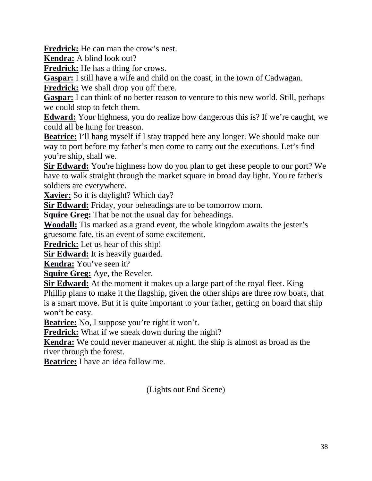**Fredrick:** He can man the crow's nest.

**Kendra:** A blind look out?

**Fredrick:** He has a thing for crows.

**Gaspar:** I still have a wife and child on the coast, in the town of Cadwagan.

**Fredrick:** We shall drop you off there.

**Gaspar:** I can think of no better reason to venture to this new world. Still, perhaps we could stop to fetch them.

**Edward:** Your highness, you do realize how dangerous this is? If we're caught, we could all be hung for treason.

**Beatrice:** I'll hang myself if I stay trapped here any longer. We should make our way to port before my father's men come to carry out the executions. Let's find you're ship, shall we.

**Sir Edward:** You're highness how do you plan to get these people to our port? We have to walk straight through the market square in broad day light. You're father's soldiers are everywhere.

**Xavier:** So it is daylight? Which day?

**Sir Edward:** Friday, your beheadings are to be tomorrow morn.

**Squire Greg:** That be not the usual day for beheadings.

**Woodall:** Tis marked as a grand event, the whole kingdom awaits the jester's gruesome fate, tis an event of some excitement.

**Fredrick:** Let us hear of this ship!

**Sir Edward:** It is heavily guarded.

**Kendra:** You've seen it?

**Squire Greg:** Aye, the Reveler.

**Sir Edward:** At the moment it makes up a large part of the royal fleet. King Phillip plans to make it the flagship, given the other ships are three row boats, that is a smart move. But it is quite important to your father, getting on board that ship won't be easy.

**Beatrice:** No, I suppose you're right it won't.

**Fredrick:** What if we sneak down during the night?

**Kendra:** We could never maneuver at night, the ship is almost as broad as the river through the forest.

**Beatrice:** I have an idea follow me.

(Lights out End Scene)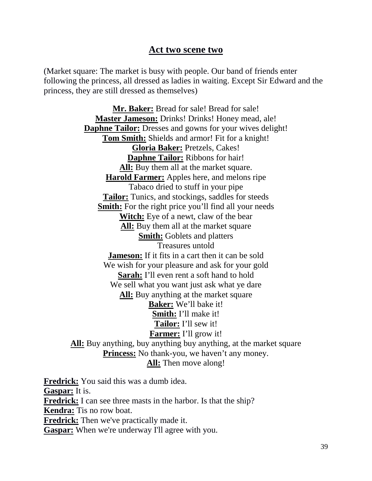#### **Act two scene two**

(Market square: The market is busy with people. Our band of friends enter following the princess, all dressed as ladies in waiting. Except Sir Edward and the princess, they are still dressed as themselves)

**Mr. Baker:** Bread for sale! Bread for sale! **Master Jameson:** Drinks! Drinks! Honey mead, ale! **Daphne Tailor:** Dresses and gowns for your wives delight! **Tom Smith:** Shields and armor! Fit for a knight! **Gloria Baker:** Pretzels, Cakes! **Daphne Tailor:** Ribbons for hair! **All:** Buy them all at the market square. **Harold Farmer:** Apples here, and melons ripe Tabaco dried to stuff in your pipe **Tailor:** Tunics, and stockings, saddles for steeds **Smith:** For the right price you'll find all your needs **Witch:** Eye of a newt, claw of the bear **All:** Buy them all at the market square **Smith:** Goblets and platters Treasures untold **Jameson:** If it fits in a cart then it can be sold We wish for your pleasure and ask for your gold **Sarah:** I'll even rent a soft hand to hold We sell what you want just ask what ye dare **All:** Buy anything at the market square **Baker:** We'll bake it! **Smith:** I'll make it! **Tailor:** I'll sew it! **Farmer:** I'll grow it! **All:** Buy anything, buy anything buy anything, at the market square **Princess:** No thank-you, we haven't any money. **All:** Then move along!

**Fredrick:** You said this was a dumb idea. **Gaspar:** It is. **Fredrick:** I can see three masts in the harbor. Is that the ship? **Kendra:** Tis no row boat. **Fredrick:** Then we've practically made it. **Gaspar:** When we're underway I'll agree with you.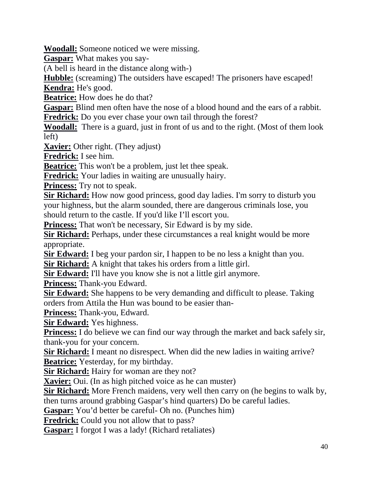**Woodall:** Someone noticed we were missing.

**Gaspar:** What makes you say-

(A bell is heard in the distance along with-)

**Hubble:** (screaming) The outsiders have escaped! The prisoners have escaped!

**Kendra:** He's good.

**Beatrice:** How does he do that?

**Gaspar:** Blind men often have the nose of a blood hound and the ears of a rabbit. **Fredrick:** Do you ever chase your own tail through the forest?

**Woodall:** There is a guard, just in front of us and to the right. (Most of them look left)

**Xavier:** Other right. (They adjust)

**Fredrick:** I see him.

**Beatrice:** This won't be a problem, just let thee speak.

**Fredrick:** Your ladies in waiting are unusually hairy.

**Princess:** Try not to speak.

**Sir Richard:** How now good princess, good day ladies. I'm sorry to disturb you your highness, but the alarm sounded, there are dangerous criminals lose, you should return to the castle. If you'd like I'll escort you.

**Princess:** That won't be necessary, Sir Edward is by my side.

**Sir Richard:** Perhaps, under these circumstances a real knight would be more appropriate.

**Sir Edward:** I beg your pardon sir, I happen to be no less a knight than you.

**Sir Richard:** A knight that takes his orders from a little girl.

**Sir Edward:** I'll have you know she is not a little girl anymore.

**Princess:** Thank-you Edward.

**Sir Edward:** She happens to be very demanding and difficult to please. Taking orders from Attila the Hun was bound to be easier than-

**Princess:** Thank-you, Edward.

**Sir Edward:** Yes highness.

**Princess:** I do believe we can find our way through the market and back safely sir, thank-you for your concern.

**Sir Richard:** I meant no disrespect. When did the new ladies in waiting arrive? **Beatrice:** Yesterday, for my birthday.

**Sir Richard:** Hairy for woman are they not?

**Xavier:** Oui. (In as high pitched voice as he can muster)

**Sir Richard:** More French maidens, very well then carry on (he begins to walk by, then turns around grabbing Gaspar's hind quarters) Do be careful ladies.

**Gaspar:** You'd better be careful- Oh no. (Punches him)

**Fredrick:** Could you not allow that to pass?

**Gaspar:** I forgot I was a lady! (Richard retaliates)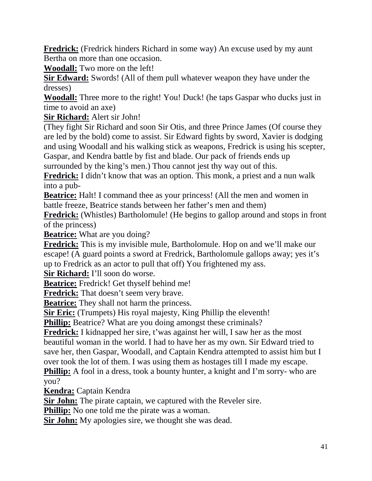**Fredrick:** (Fredrick hinders Richard in some way) An excuse used by my aunt Bertha on more than one occasion.

**Woodall:** Two more on the left!

**Sir Edward:** Swords! (All of them pull whatever weapon they have under the dresses)

**Woodall:** Three more to the right! You! Duck! (he taps Gaspar who ducks just in time to avoid an axe)

**Sir Richard:** Alert sir John!

(They fight Sir Richard and soon Sir Otis, and three Prince James (Of course they are led by the bold) come to assist. Sir Edward fights by sword, Xavier is dodging and using Woodall and his walking stick as weapons, Fredrick is using his scepter, Gaspar, and Kendra battle by fist and blade. Our pack of friends ends up

surrounded by the king's men.) Thou cannot jest thy way out of this.

**Fredrick:** I didn't know that was an option. This monk, a priest and a nun walk into a pub-

**Beatrice:** Halt! I command thee as your princess! (All the men and women in battle freeze, Beatrice stands between her father's men and them)

**Fredrick:** (Whistles) Bartholomule! (He begins to gallop around and stops in front of the princess)

**Beatrice:** What are you doing?

**Fredrick:** This is my invisible mule, Bartholomule. Hop on and we'll make our escape! (A guard points a sword at Fredrick, Bartholomule gallops away; yes it's up to Fredrick as an actor to pull that off) You frightened my ass.

**Sir Richard:** I'll soon do worse.

**Beatrice:** Fredrick! Get thyself behind me!

**Fredrick:** That doesn't seem very brave.

**Beatrice:** They shall not harm the princess.

**Sir Eric:** (Trumpets) His royal majesty, King Phillip the eleventh!

**Phillip:** Beatrice? What are you doing amongst these criminals?

**Fredrick:** I kidnapped her sire, t'was against her will, I saw her as the most beautiful woman in the world. I had to have her as my own. Sir Edward tried to save her, then Gaspar, Woodall, and Captain Kendra attempted to assist him but I over took the lot of them. I was using them as hostages till I made my escape.

**Phillip:** A fool in a dress, took a bounty hunter, a knight and I'm sorry- who are you?

**Kendra:** Captain Kendra

**Sir John:** The pirate captain, we captured with the Reveler sire.

**Phillip:** No one told me the pirate was a woman.

**Sir John:** My apologies sire, we thought she was dead.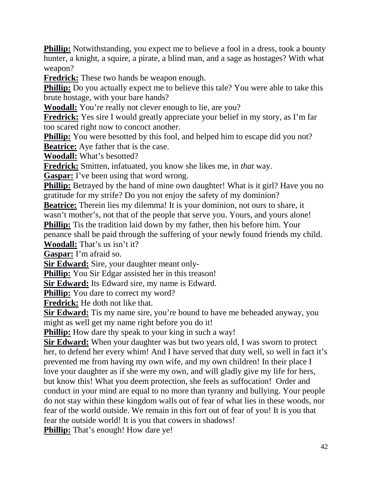**Phillip:** Notwithstanding, you expect me to believe a fool in a dress, took a bounty hunter, a knight, a squire, a pirate, a blind man, and a sage as hostages? With what weapon?

**Fredrick:** These two hands be weapon enough.

**Phillip:** Do you actually expect me to believe this tale? You were able to take this brute hostage, with your bare hands?

**Woodall:** You're really not clever enough to lie, are you?

**Fredrick:** Yes sire I would greatly appreciate your belief in my story, as I'm far too scared right now to concoct another.

**Phillip:** You were besotted by this fool, and helped him to escape did you not? **Beatrice:** Aye father that is the case.

**Woodall:** What's besotted?

**Fredrick:** Smitten, infatuated, you know she likes me, in *that* way.

**Gaspar:** I've been using that word wrong.

**Phillip:** Betrayed by the hand of mine own daughter! What is it girl? Have you no gratitude for my strife? Do you not enjoy the safety of my dominion?

**Beatrice:** Therein lies my dilemma! It is your dominion, not ours to share, it wasn't mother's, not that of the people that serve you. Yours, and yours alone!

**Phillip:** Tis the tradition laid down by my father, then his before him. Your penance shall be paid through the suffering of your newly found friends my child.

**Woodall:** That's us isn't it?

**Gaspar:** I'm afraid so.

**Sir Edward:** Sire, your daughter meant only-

**Phillip:** You Sir Edgar assisted her in this treason!

**Sir Edward:** Its Edward sire, my name is Edward.

**Phillip:** You dare to correct my word?

**Fredrick:** He doth not like that.

**Sir Edward:** Tis my name sire, you're bound to have me beheaded anyway, you might as well get my name right before you do it!

**Phillip:** How dare thy speak to your king in such a way!

**Sir Edward:** When your daughter was but two years old, I was sworn to protect her, to defend her every whim! And I have served that duty well, so well in fact it's prevented me from having my own wife, and my own children! In their place I love your daughter as if she were my own, and will gladly give my life for hers, but know this! What you deem protection, she feels as suffocation! Order and conduct in your mind are equal to no more than tyranny and bullying. Your people do not stay within these kingdom walls out of fear of what lies in these woods, nor fear of the world outside. We remain in this fort out of fear of you! It is you that fear the outside world! It is you that cowers in shadows!

**Phillip:** That's enough! How dare ye!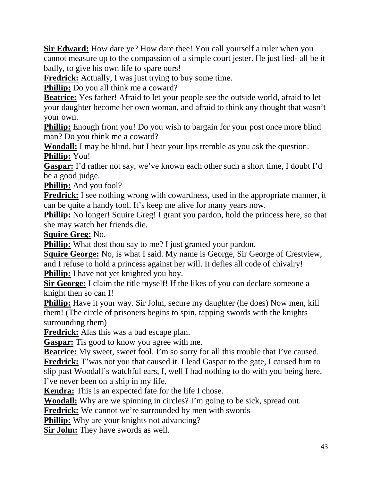**Sir Edward:** How dare ye? How dare thee! You call yourself a ruler when you cannot measure up to the compassion of a simple court jester. He just lied- all be it badly, to give his own life to spare ours!

**Fredrick:** Actually, I was just trying to buy some time.

**Phillip:** Do you all think me a coward?

**Beatrice:** Yes father! Afraid to let your people see the outside world, afraid to let your daughter become her own woman, and afraid to think any thought that wasn't your own.

**Phillip:** Enough from you! Do you wish to bargain for your post once more blind man? Do you think me a coward?

**Woodall:** I may be blind, but I hear your lips tremble as you ask the question. **Phillip:** You!

**Gaspar:** I'd rather not say, we've known each other such a short time, I doubt I'd be a good judge.

**Phillip:** And you fool?

**Fredrick:** I see nothing wrong with cowardness, used in the appropriate manner, it can be quite a handy tool. It's keep me alive for many years now.

**Phillip:** No longer! Squire Greg! I grant you pardon, hold the princess here, so that she may watch her friends die.

**Squire Greg:** No.

**Phillip:** What dost thou say to me? I just granted your pardon.

**Squire George:** No, is what I said. My name is George, Sir George of Crestview, and I refuse to hold a princess against her will. It defies all code of chivalry! **Phillip:** I have not yet knighted you boy.

**Sir George:** I claim the title myself! If the likes of you can declare someone a knight then so can I!

**Phillip:** Have it your way. Sir John, secure my daughter (he does) Now men, kill them! (The circle of prisoners begins to spin, tapping swords with the knights surrounding them)

**Fredrick:** Alas this was a bad escape plan.

**Gaspar:** Tis good to know you agree with me.

**Beatrice:** My sweet, sweet fool. I'm so sorry for all this trouble that I've caused. **Fredrick:** T'was not you that caused it. I lead Gaspar to the gate, I caused him to slip past Woodall's watchful ears, I, well I had nothing to do with you being here. I've never been on a ship in my life.

**Kendra:** This is an expected fate for the life I chose.

**Woodall:** Why are we spinning in circles? I'm going to be sick, spread out.

Fredrick: We cannot we're surrounded by men with swords

**Phillip:** Why are your knights not advancing?

**Sir John:** They have swords as well.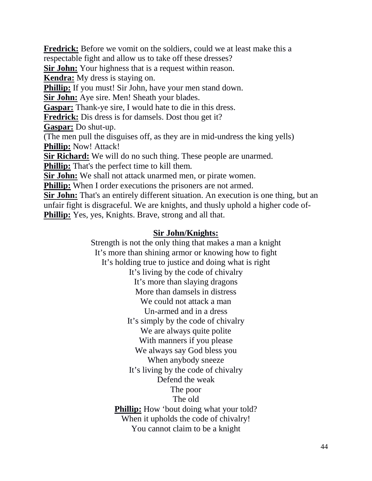**Fredrick:** Before we vomit on the soldiers, could we at least make this a respectable fight and allow us to take off these dresses? **Sir John:** Your highness that is a request within reason. **Kendra:** My dress is staying on. **Phillip:** If you must! Sir John, have your men stand down. **Sir John:** Aye sire. Men! Sheath your blades. **Gaspar:** Thank-ye sire, I would hate to die in this dress. **Fredrick:** Dis dress is for damsels. Dost thou get it? **Gaspar:** Do shut-up. (The men pull the disguises off, as they are in mid-undress the king yells) **Phillip:** Now! Attack! **Sir Richard:** We will do no such thing. These people are unarmed. **Phillip:** That's the perfect time to kill them. **Sir John:** We shall not attack unarmed men, or pirate women. **Phillip:** When I order executions the prisoners are not armed. **Sir John:** That's an entirely different situation. An execution is one thing, but an unfair fight is disgraceful. We are knights, and thusly uphold a higher code of-**Phillip:** Yes, yes, Knights. Brave, strong and all that.

#### **Sir John/Knights:**

Strength is not the only thing that makes a man a knight It's more than shining armor or knowing how to fight It's holding true to justice and doing what is right It's living by the code of chivalry It's more than slaying dragons More than damsels in distress We could not attack a man Un-armed and in a dress It's simply by the code of chivalry We are always quite polite With manners if you please We always say God bless you When anybody sneeze It's living by the code of chivalry Defend the weak The poor The old **Phillip:** How 'bout doing what your told? When it upholds the code of chivalry! You cannot claim to be a knight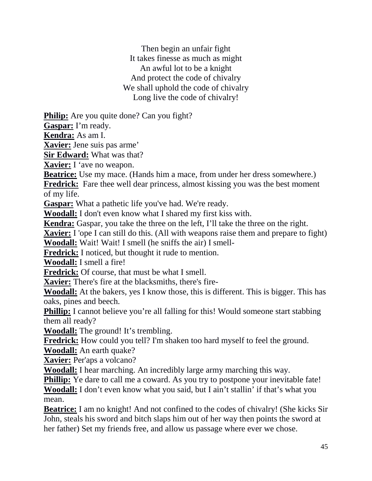Then begin an unfair fight It takes finesse as much as might An awful lot to be a knight And protect the code of chivalry We shall uphold the code of chivalry Long live the code of chivalry!

**Philip:** Are you quite done? Can you fight?

**Gaspar:** I'm ready.

**Kendra:** As am I.

**Xavier:** Jene suis pas arme'

**Sir Edward:** What was that?

**Xavier:** I 'ave no weapon.

**Beatrice:** Use my mace. (Hands him a mace, from under her dress somewhere.)

**Fredrick:** Fare thee well dear princess, almost kissing you was the best moment of my life.

**Gaspar:** What a pathetic life you've had. We're ready.

**Woodall:** I don't even know what I shared my first kiss with.

**Kendra:** Gaspar, you take the three on the left, I'll take the three on the right.

**Xavier:** I 'ope I can still do this. (All with weapons raise them and prepare to fight) **Woodall:** Wait! Wait! I smell (he sniffs the air) I smell-

**Fredrick:** I noticed, but thought it rude to mention.

**Woodall:** I smell a fire!

**Fredrick:** Of course, that must be what I smell.

**Xavier:** There's fire at the blacksmiths, there's fire-

**Woodall:** At the bakers, yes I know those, this is different. This is bigger. This has oaks, pines and beech.

**Phillip:** I cannot believe you're all falling for this! Would someone start stabbing them all ready?

**Woodall:** The ground! It's trembling.

**Fredrick:** How could you tell? I'm shaken too hard myself to feel the ground.

**Woodall:** An earth quake?

**Xavier:** Per'aps a volcano?

**Woodall:** I hear marching. An incredibly large army marching this way.

**Phillip:** Ye dare to call me a coward. As you try to postpone your inevitable fate!

**Woodall:** I don't even know what you said, but I ain't stallin' if that's what you mean.

**Beatrice:** I am no knight! And not confined to the codes of chivalry! (She kicks Sir John, steals his sword and bitch slaps him out of her way then points the sword at her father) Set my friends free, and allow us passage where ever we chose.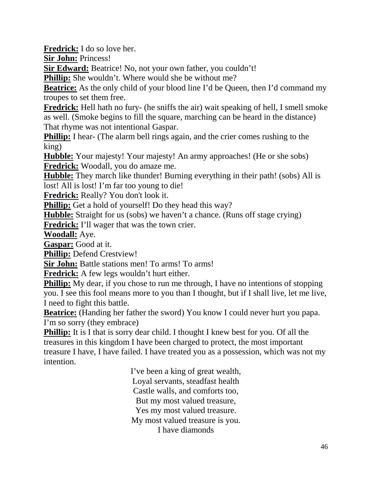**Fredrick:** I do so love her.

**Sir John:** Princess!

**Sir Edward:** Beatrice! No, not your own father, you couldn't!

**Phillip:** She wouldn't. Where would she be without me?

**Beatrice:** As the only child of your blood line I'd be Queen, then I'd command my troupes to set them free.

**Fredrick:** Hell hath no fury- (he sniffs the air) wait speaking of hell, I smell smoke as well. (Smoke begins to fill the square, marching can be heard in the distance) That rhyme was not intentional Gaspar.

**Phillip:** I hear- (The alarm bell rings again, and the crier comes rushing to the king)

**Hubble:** Your majesty! Your majesty! An army approaches! (He or she sobs) **Fredrick:** Woodall, you do amaze me.

**Hubble:** They march like thunder! Burning everything in their path! (sobs) All is lost! All is lost! I'm far too young to die!

**Fredrick:** Really? You don't look it.

**Phillip:** Get a hold of yourself! Do they head this way?

**Hubble:** Straight for us (sobs) we haven't a chance. (Runs off stage crying)

**Fredrick:** I'll wager that was the town crier.

**Woodall:** Aye.

**Gaspar:** Good at it.

**Phillip:** Defend Crestview!

**Sir John:** Battle stations men! To arms! To arms!

**Fredrick:** A few legs wouldn't hurt either.

**Phillip:** My dear, if you chose to run me through, I have no intentions of stopping you. I see this fool means more to you than I thought, but if I shall live, let me live, I need to fight this battle.

**Beatrice:** (Handing her father the sword) You know I could never hurt you papa. I'm so sorry (they embrace)

**Phillip:** It is I that is sorry dear child. I thought I knew best for you. Of all the treasures in this kingdom I have been charged to protect, the most important treasure I have, I have failed. I have treated you as a possession, which was not my intention.

> I've been a king of great wealth, Loyal servants, steadfast health Castle walls, and comforts too, But my most valued treasure, Yes my most valued treasure. My most valued treasure is you. I have diamonds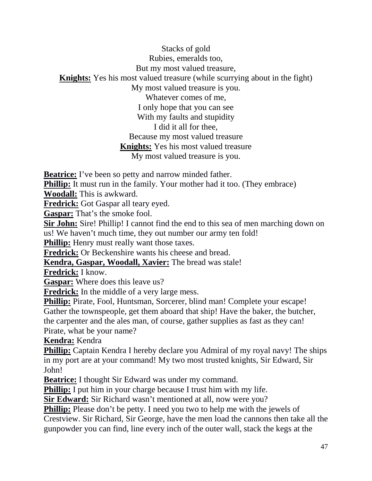Stacks of gold Rubies, emeralds too, But my most valued treasure, **Knights:** Yes his most valued treasure (while scurrying about in the fight) My most valued treasure is you. Whatever comes of me, I only hope that you can see With my faults and stupidity I did it all for thee, Because my most valued treasure **Knights:** Yes his most valued treasure My most valued treasure is you.

**Beatrice:** I've been so petty and narrow minded father.

**Phillip:** It must run in the family. Your mother had it too. (They embrace)

**Woodall:** This is awkward.

**Fredrick:** Got Gaspar all teary eyed.

**Gaspar:** That's the smoke fool.

**Sir John:** Sire! Phillip! I cannot find the end to this sea of men marching down on us! We haven't much time, they out number our army ten fold!

**Phillip:** Henry must really want those taxes.

**Fredrick:** Or Beckenshire wants his cheese and bread.

**Kendra, Gaspar, Woodall, Xavier:** The bread was stale!

**Fredrick:** I know.

**Gaspar:** Where does this leave us?

**Fredrick:** In the middle of a very large mess.

**Phillip:** Pirate, Fool, Huntsman, Sorcerer, blind man! Complete your escape!

Gather the townspeople, get them aboard that ship! Have the baker, the butcher,

the carpenter and the ales man, of course, gather supplies as fast as they can! Pirate, what be your name?

**Kendra:** Kendra

**Phillip:** Captain Kendra I hereby declare you Admiral of my royal navy! The ships in my port are at your command! My two most trusted knights, Sir Edward, Sir John!

**Beatrice:** I thought Sir Edward was under my command.

**Phillip:** I put him in your charge because I trust him with my life.

**Sir Edward:** Sir Richard wasn't mentioned at all, now were you?

**Phillip:** Please don't be petty. I need you two to help me with the jewels of Crestview. Sir Richard, Sir George, have the men load the cannons then take all the gunpowder you can find, line every inch of the outer wall, stack the kegs at the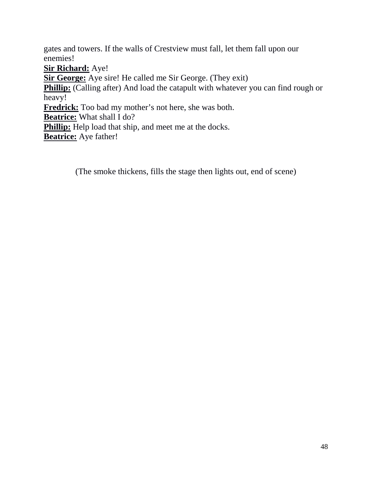gates and towers. If the walls of Crestview must fall, let them fall upon our enemies!

**Sir Richard:** Aye!

**Sir George:** Aye sire! He called me Sir George. (They exit)

**Phillip:** (Calling after) And load the catapult with whatever you can find rough or heavy!

**Fredrick:** Too bad my mother's not here, she was both.

**Beatrice:** What shall I do?

**Phillip:** Help load that ship, and meet me at the docks.

**Beatrice:** Aye father!

(The smoke thickens, fills the stage then lights out, end of scene)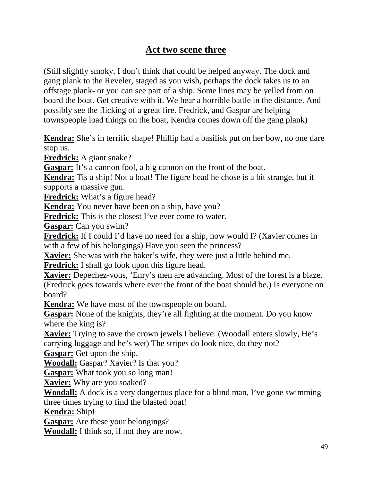## **Act two scene three**

(Still slightly smoky, I don't think that could be helped anyway. The dock and gang plank to the Reveler, staged as you wish, perhaps the dock takes us to an offstage plank- or you can see part of a ship. Some lines may be yelled from on board the boat. Get creative with it. We hear a horrible battle in the distance. And possibly see the flicking of a great fire. Fredrick, and Gaspar are helping townspeople load things on the boat, Kendra comes down off the gang plank)

**Kendra:** She's in terrific shape! Phillip had a basilisk put on her bow, no one dare stop us.

**Fredrick:** A giant snake?

Gaspar: It's a cannon fool, a big cannon on the front of the boat.

**Kendra:** Tis a ship! Not a boat! The figure head he chose is a bit strange, but it supports a massive gun.

**Fredrick:** What's a figure head?

**Kendra:** You never have been on a ship, have you?

**Fredrick:** This is the closest I've ever come to water.

**Gaspar:** Can you swim?

**Fredrick:** If I could I'd have no need for a ship, now would I? (Xavier comes in with a few of his belongings) Have you seen the princess?

**Xavier:** She was with the baker's wife, they were just a little behind me.

**Fredrick:** I shall go look upon this figure head.

**Xavier:** Depechez-vous, 'Enry's men are advancing. Most of the forest is a blaze. (Fredrick goes towards where ever the front of the boat should be.) Is everyone on board?

**Kendra:** We have most of the townspeople on board.

**Gaspar:** None of the knights, they're all fighting at the moment. Do you know where the king is?

**Xavier:** Trying to save the crown jewels I believe. (Woodall enters slowly, He's carrying luggage and he's wet) The stripes do look nice, do they not?

**Gaspar:** Get upon the ship.

**Woodall:** Gaspar? Xavier? Is that you?

**Gaspar:** What took you so long man!

**Xavier:** Why are you soaked?

**Woodall:** A dock is a very dangerous place for a blind man, I've gone swimming three times trying to find the blasted boat!

**Kendra:** Ship!

**Gaspar:** Are these your belongings?

**Woodall:** I think so, if not they are now.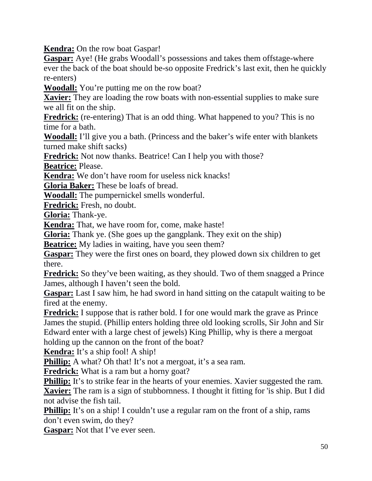**Kendra:** On the row boat Gaspar!

**Gaspar:** Aye! (He grabs Woodall's possessions and takes them offstage-where ever the back of the boat should be-so opposite Fredrick's last exit, then he quickly re-enters)

**Woodall:** You're putting me on the row boat?

**Xavier:** They are loading the row boats with non-essential supplies to make sure we all fit on the ship.

**Fredrick:** (re-entering) That is an odd thing. What happened to you? This is no time for a bath.

**Woodall:** I'll give you a bath. (Princess and the baker's wife enter with blankets turned make shift sacks)

**Fredrick:** Not now thanks. Beatrice! Can I help you with those?

**Beatrice:** Please.

**Kendra:** We don't have room for useless nick knacks!

**Gloria Baker:** These be loafs of bread.

**Woodall:** The pumpernickel smells wonderful.

**Fredrick:** Fresh, no doubt.

**Gloria:** Thank-ye.

**Kendra:** That, we have room for, come, make haste!

**Gloria:** Thank ye. (She goes up the gangplank. They exit on the ship)

**Beatrice:** My ladies in waiting, have you seen them?

**Gaspar:** They were the first ones on board, they plowed down six children to get there.

**Fredrick:** So they've been waiting, as they should. Two of them snagged a Prince James, although I haven't seen the bold.

**Gaspar:** Last I saw him, he had sword in hand sitting on the catapult waiting to be fired at the enemy.

**Fredrick:** I suppose that is rather bold. I for one would mark the grave as Prince James the stupid. (Phillip enters holding three old looking scrolls, Sir John and Sir Edward enter with a large chest of jewels) King Phillip, why is there a mergoat holding up the cannon on the front of the boat?

**Kendra:** It's a ship fool! A ship!

**Phillip:** A what? Oh that! It's not a mergoat, it's a sea ram.

**Fredrick:** What is a ram but a horny goat?

**Phillip:** It's to strike fear in the hearts of your enemies. Xavier suggested the ram. **Xavier:** The ram is a sign of stubbornness. I thought it fitting for 'is ship. But I did not advise the fish tail.

**Phillip:** It's on a ship! I couldn't use a regular ram on the front of a ship, rams don't even swim, do they?

**Gaspar:** Not that I've ever seen.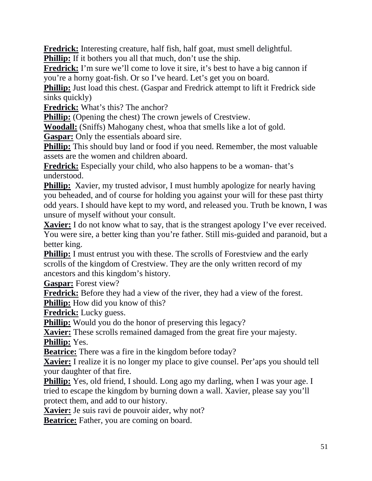**Fredrick:** Interesting creature, half fish, half goat, must smell delightful. **Phillip:** If it bothers you all that much, don't use the ship.

**Fredrick:** I'm sure we'll come to love it sire, it's best to have a big cannon if you're a horny goat-fish. Or so I've heard. Let's get you on board.

**Phillip:** Just load this chest. (Gaspar and Fredrick attempt to lift it Fredrick side sinks quickly)

**Fredrick:** What's this? The anchor?

**Phillip:** (Opening the chest) The crown jewels of Crestview.

**Woodall:** (Sniffs) Mahogany chest, whoa that smells like a lot of gold.

**Gaspar:** Only the essentials aboard sire.

**Phillip:** This should buy land or food if you need. Remember, the most valuable assets are the women and children aboard.

**Fredrick:** Especially your child, who also happens to be a woman- that's understood.

**Phillip:** Xavier, my trusted advisor, I must humbly apologize for nearly having you beheaded, and of course for holding you against your will for these past thirty odd years. I should have kept to my word, and released you. Truth be known, I was unsure of myself without your consult.

**Xavier:** I do not know what to say, that is the strangest apology I've ever received. You were sire, a better king than you're father. Still mis-guided and paranoid, but a better king.

**Phillip:** I must entrust you with these. The scrolls of Foresty and the early scrolls of the kingdom of Crestview. They are the only written record of my ancestors and this kingdom's history.

**Gaspar:** Forest view?

**Fredrick:** Before they had a view of the river, they had a view of the forest.

**Phillip:** How did you know of this?

**Fredrick:** Lucky guess.

**Phillip:** Would you do the honor of preserving this legacy?

**Xavier:** These scrolls remained damaged from the great fire your majesty. **Phillip:** Yes.

**Beatrice:** There was a fire in the kingdom before today?

**Xavier:** I realize it is no longer my place to give counsel. Per'aps you should tell your daughter of that fire.

**Phillip:** Yes, old friend, I should. Long ago my darling, when I was your age. I tried to escape the kingdom by burning down a wall. Xavier, please say you'll protect them, and add to our history.

**Xavier:** Je suis ravi de pouvoir aider, why not?

**Beatrice:** Father, you are coming on board.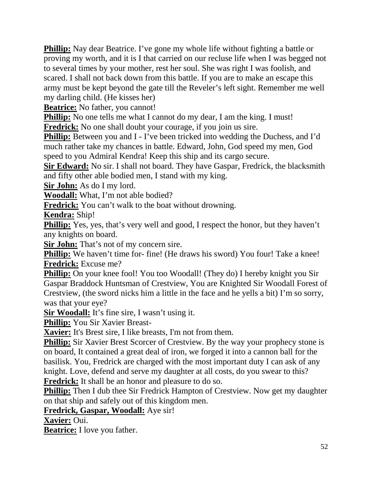**Phillip:** Nay dear Beatrice. I've gone my whole life without fighting a battle or proving my worth, and it is I that carried on our recluse life when I was begged not to several times by your mother, rest her soul. She was right I was foolish, and scared. I shall not back down from this battle. If you are to make an escape this army must be kept beyond the gate till the Reveler's left sight. Remember me well my darling child. (He kisses her)

**Beatrice:** No father, you cannot!

**Phillip:** No one tells me what I cannot do my dear, I am the king. I must!

**Fredrick:** No one shall doubt your courage, if you join us sire.

**Phillip:** Between you and I - I've been tricked into wedding the Duchess, and I'd much rather take my chances in battle. Edward, John, God speed my men, God speed to you Admiral Kendra! Keep this ship and its cargo secure.

**Sir Edward:** No sir. I shall not board. They have Gaspar, Fredrick, the blacksmith and fifty other able bodied men, I stand with my king.

**Sir John:** As do I my lord.

**Woodall:** What, I'm not able bodied?

**Fredrick:** You can't walk to the boat without drowning.

**Kendra:** Ship!

**Phillip:** Yes, yes, that's very well and good, I respect the honor, but they haven't any knights on board.

**Sir John:** That's not of my concern sire.

**Phillip:** We haven't time for- fine! (He draws his sword) You four! Take a knee! **Fredrick:** Excuse me?

**Phillip:** On your knee fool! You too Woodall! (They do) I hereby knight you Sir Gaspar Braddock Huntsman of Crestview, You are Knighted Sir Woodall Forest of Crestview, (the sword nicks him a little in the face and he yells a bit) I'm so sorry, was that your eye?

**Sir Woodall:** It's fine sire, I wasn't using it.

**Phillip:** You Sir Xavier Breast-

**Xavier:** It's Brest sire, I like breasts, I'm not from them.

**Phillip:** Sir Xavier Brest Scorcer of Crestview. By the way your prophecy stone is on board, It contained a great deal of iron, we forged it into a cannon ball for the basilisk. You, Fredrick are charged with the most important duty I can ask of any knight. Love, defend and serve my daughter at all costs, do you swear to this? **Fredrick:** It shall be an honor and pleasure to do so.

**Phillip:** Then I dub thee Sir Fredrick Hampton of Crestview. Now get my daughter on that ship and safely out of this kingdom men.

**Fredrick, Gaspar, Woodall:** Aye sir!

**Xavier:** Oui.

**Beatrice:** I love you father.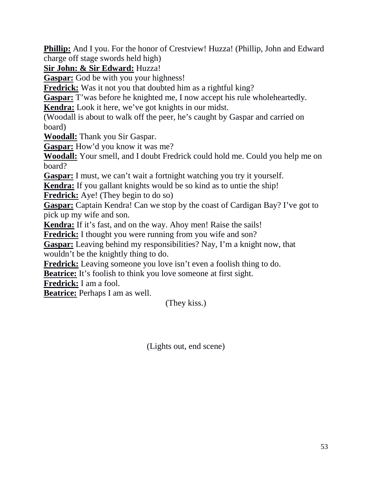**Phillip:** And I you. For the honor of Crestview! Huzza! (Phillip, John and Edward charge off stage swords held high)

**Sir John: & Sir Edward:** Huzza!

**Gaspar:** God be with you your highness!

**Fredrick:** Was it not you that doubted him as a rightful king?

**Gaspar:** T'was before he knighted me, I now accept his rule wholeheartedly.

**Kendra:** Look it here, we've got knights in our midst.

(Woodall is about to walk off the peer, he's caught by Gaspar and carried on board)

**Woodall:** Thank you Sir Gaspar.

**Gaspar:** How'd you know it was me?

**Woodall:** Your smell, and I doubt Fredrick could hold me. Could you help me on board?

**Gaspar:** I must, we can't wait a fortnight watching you try it yourself.

**Kendra:** If you gallant knights would be so kind as to untie the ship!

**Fredrick:** Aye! (They begin to do so)

**Gaspar:** Captain Kendra! Can we stop by the coast of Cardigan Bay? I've got to pick up my wife and son.

**Kendra:** If it's fast, and on the way. Ahoy men! Raise the sails!

**Fredrick:** I thought you were running from you wife and son?

**Gaspar:** Leaving behind my responsibilities? Nay, I'm a knight now, that wouldn't be the knightly thing to do.

**Fredrick:** Leaving someone you love isn't even a foolish thing to do.

**Beatrice:** It's foolish to think you love someone at first sight.

**Fredrick:** I am a fool.

**Beatrice:** Perhaps I am as well.

(They kiss.)

(Lights out, end scene)